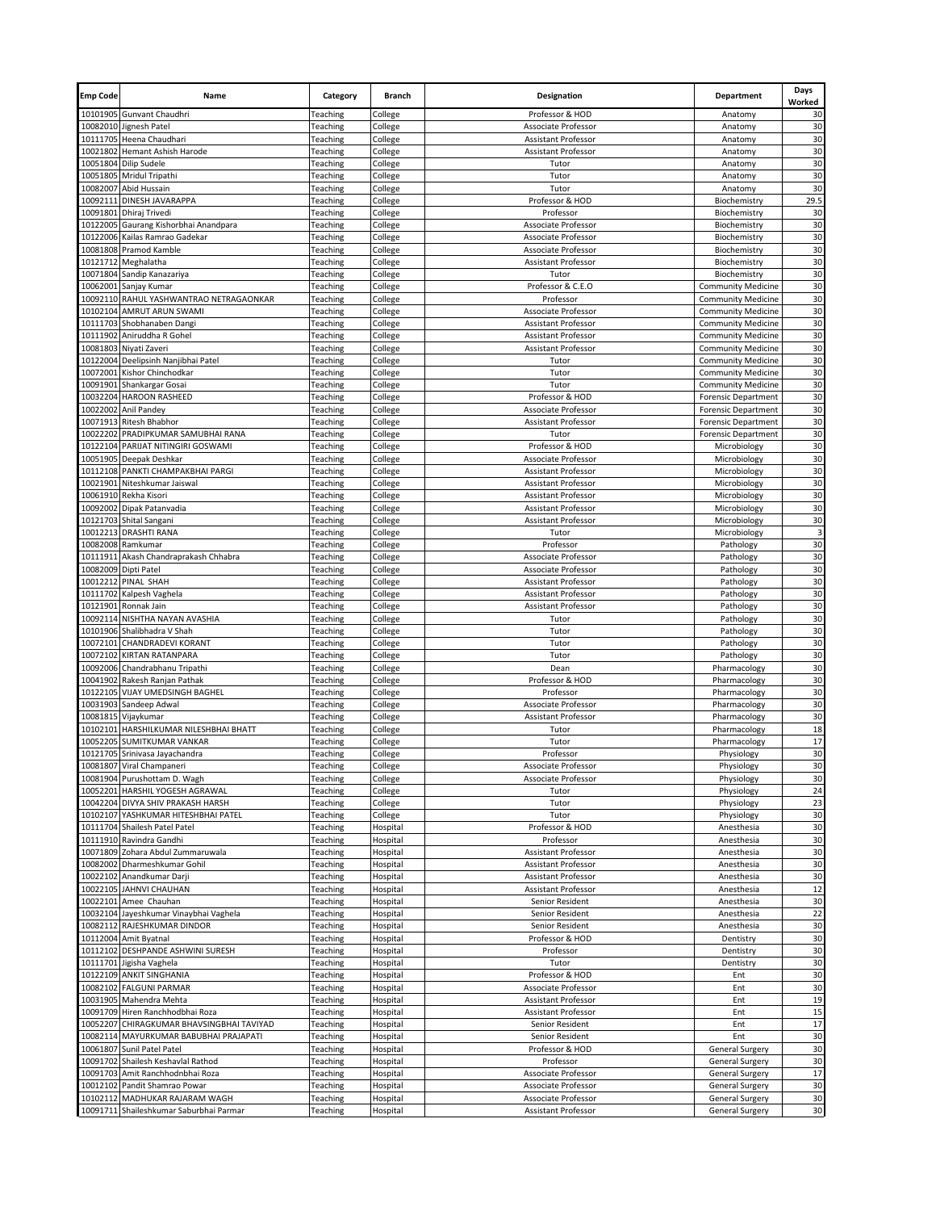| <b>Emp Code</b> | Name                                                                      | Category             | <b>Branch</b>        | Designation                                | Department                                             | Days<br>Worked |
|-----------------|---------------------------------------------------------------------------|----------------------|----------------------|--------------------------------------------|--------------------------------------------------------|----------------|
|                 | 10101905 Gunvant Chaudhri                                                 | Teaching             | College              | Professor & HOD                            | Anatomy                                                | 30             |
|                 | 10082010 Jignesh Patel                                                    | Teaching             | College              | Associate Professor                        | Anatomy                                                | 30             |
|                 | 10111705 Heena Chaudhari                                                  | Teaching             | College              | <b>Assistant Professor</b>                 | Anatomy                                                | 30             |
|                 | 10021802 Hemant Ashish Harode                                             | Teaching             | College              | Assistant Professor                        | Anatomy                                                | 30             |
| 10051804        | <b>Dilip Sudele</b><br>10051805 Mridul Tripathi                           | Teaching             | College              | Tutor<br>Tutor                             | Anatomy<br>Anatomy                                     | 30<br>30       |
| 10082007        | Abid Hussain                                                              | Teaching<br>Teaching | College<br>College   | Tutor                                      | Anatomy                                                | 30             |
| 10092111        | DINESH JAVARAPPA                                                          | Teaching             | College              | Professor & HOD                            | Biochemistry                                           | 29.5           |
|                 | 10091801 Dhiraj Trivedi                                                   | Teaching             | College              | Professor                                  | Biochemistry                                           | 30             |
|                 | 10122005 Gaurang Kishorbhai Anandpara                                     | Teaching             | College              | Associate Professor                        | Biochemistry                                           | 30             |
|                 | 10122006 Kailas Ramrao Gadekar                                            | Teaching             | College              | Associate Professor                        | Biochemistry                                           | 30             |
|                 | 10081808 Pramod Kamble                                                    | Teaching             | College              | Associate Professor                        | Biochemistry                                           | 30             |
|                 | 10121712 Meghalatha                                                       | Teaching             | College              | Assistant Professor                        | Biochemistry                                           | 30             |
|                 | 10071804 Sandip Kanazariya                                                | Teaching             | College              | Tutor                                      | Biochemistry                                           | 30             |
| 10062001        | Sanjay Kumar                                                              | Teaching             | College              | Professor & C.E.O                          | <b>Community Medicine</b>                              | 30             |
|                 | 10092110 RAHUL YASHWANTRAO NETRAGAONKAR                                   | Teaching             | College              | Professor                                  | <b>Community Medicine</b>                              | 30             |
|                 | 10102104 AMRUT ARUN SWAMI                                                 | Teaching             | College              | Associate Professor                        | <b>Community Medicine</b>                              | 30             |
| 10111703        | Shobhanaben Dangi                                                         | Teaching             | College              | Assistant Professor                        | <b>Community Medicine</b>                              | 30             |
|                 | 10111902 Aniruddha R Gohel                                                | Teaching             | College              | Assistant Professor                        | <b>Community Medicine</b>                              | 30             |
| 10122004        | 10081803 Niyati Zaveri                                                    | Teaching             | College              | Assistant Professor<br>Tutor               | <b>Community Medicine</b>                              | 30<br>30       |
| 10072001        | Deelipsinh Nanjibhai Patel<br>Kishor Chinchodkar                          | Teaching<br>Teaching | College<br>College   | Tutor                                      | <b>Community Medicine</b><br><b>Community Medicine</b> | 30             |
|                 | 10091901 Shankargar Gosai                                                 | Teaching             | College              | Tutor                                      | <b>Community Medicine</b>                              | 30             |
|                 | 10032204 HAROON RASHEED                                                   | Teaching             | College              | Professor & HOD                            | <b>Forensic Department</b>                             | 30             |
|                 | 10022002 Anil Pandey                                                      | Teaching             | College              | Associate Professor                        | <b>Forensic Department</b>                             | 30             |
|                 | 10071913 Ritesh Bhabhor                                                   | Teaching             | College              | <b>Assistant Professor</b>                 | <b>Forensic Department</b>                             | 30             |
| 10022202        | PRADIPKUMAR SAMUBHAI RANA                                                 | Teaching             | College              | Tutor                                      | <b>Forensic Department</b>                             | 30             |
|                 | 10122104 PARIJAT NITINGIRI GOSWAMI                                        | Teaching             | College              | Professor & HOD                            | Microbiology                                           | 30             |
|                 | 10051905 Deepak Deshkar                                                   | Teaching             | College              | Associate Professor                        | Microbiology                                           | 30             |
|                 | 10112108 PANKTI CHAMPAKBHAI PARGI                                         | Teaching             | College              | Assistant Professor                        | Microbiology                                           | 30             |
|                 | 10021901 Niteshkumar Jaiswal                                              | Teaching             | College              | Assistant Professor                        | Microbiology                                           | 30             |
|                 | 10061910 Rekha Kisori                                                     | Teaching             | College              | Assistant Professor                        | Microbiology                                           | 30             |
| 10092002        | Dipak Patanvadia                                                          | Teaching             | College              | Assistant Professor                        | Microbiology                                           | 30             |
|                 | 10121703 Shital Sangani                                                   | Teaching             | College              | Assistant Professor                        | Microbiology                                           | 30             |
|                 | 10012213 DRASHTI RANA                                                     | Teaching             | College              | Tutor                                      | Microbiology                                           | 3<br>30        |
|                 | 10082008 Ramkumar<br>10111911 Akash Chandraprakash Chhabra                | Teaching<br>Teaching | College<br>College   | Professor<br>Associate Professor           | Pathology<br>Pathology                                 | 30             |
|                 | 10082009 Dipti Patel                                                      | Teaching             | College              | Associate Professor                        | Pathology                                              | 30             |
|                 | 10012212 PINAL SHAH                                                       | Teaching             | College              | Assistant Professor                        | Pathology                                              | 30             |
|                 | 10111702 Kalpesh Vaghela                                                  | Teaching             | College              | Assistant Professor                        | Pathology                                              | 30             |
|                 | 10121901 Ronnak Jain                                                      | Teaching             | College              | Assistant Professor                        | Pathology                                              | 30             |
|                 | 10092114 NISHTHA NAYAN AVASHIA                                            | Teaching             | College              | Tutor                                      | Pathology                                              | 30             |
|                 | 10101906 Shalibhadra V Shah                                               | Teaching             | College              | Tutor                                      | Pathology                                              | 30             |
|                 | 10072101 CHANDRADEVI KORANT                                               | Teaching             | College              | Tutor                                      | Pathology                                              | 30             |
|                 | 10072102 KIRTAN RATANPARA                                                 | Teaching             | College              | Tutor                                      | Pathology                                              | 30             |
|                 | 10092006 Chandrabhanu Tripathi                                            | Teaching             | College              | Dean                                       | Pharmacology                                           | 30             |
|                 | 10041902 Rakesh Ranjan Pathak                                             | Teaching             | College              | Professor & HOD                            | Pharmacology                                           | 30             |
|                 | 10122105 VIJAY UMEDSINGH BAGHEL                                           | Teaching             | College              | Professor                                  | Pharmacology                                           | 30             |
| 10031903        | Sandeep Adwal                                                             | Teaching             | College              | Associate Professor                        | Pharmacology                                           | 30             |
|                 | 10081815 Vijaykumar<br>10102101 HARSHILKUMAR NILESHBHAI BHATT             | Teaching<br>Teaching | College<br>College   | Assistant Professor<br>Tutor               | Pharmacology<br>Pharmacology                           | 30<br>18       |
|                 | 10052205 SUMITKUMAR VANKAR                                                | Teaching             | College              | Tutor                                      | Pharmacology                                           | 17             |
|                 | 10121705 Srinivasa Jayachandra                                            | Teaching             | College              | Professor                                  | Physiology                                             | 30             |
|                 | 10081807 Viral Champaneri                                                 | Teaching             | College              | Associate Professor                        | Physiology                                             | 30             |
|                 | 10081904 Purushottam D. Wagh                                              | Teaching             | College              | Associate Professor                        | Physiology                                             | 30             |
| 10052201        | HARSHIL YOGESH AGRAWAL                                                    | Teaching             | College              | Tutor                                      | Physiology                                             | 24             |
|                 | 10042204 DIVYA SHIV PRAKASH HARSH                                         | Teaching             | College              | Tutor                                      | Physiology                                             | 23             |
|                 | 10102107 YASHKUMAR HITESHBHAI PATEL                                       | Teaching             | College              | Tutor                                      | Physiology                                             | 30             |
|                 | 10111704 Shailesh Patel Patel                                             | Teaching             | Hospital             | Professor & HOD                            | Anesthesia                                             | 30             |
|                 | 10111910 Ravindra Gandhi                                                  | Teaching             | Hospital             | Professor                                  | Anesthesia                                             | 30             |
|                 | 10071809 Zohara Abdul Zummaruwala                                         | Teaching             | Hospital             | Assistant Professor                        | Anesthesia                                             | 30             |
| 10082002        | Dharmeshkumar Gohil                                                       | Teaching             | Hospital             | Assistant Professor                        | Anesthesia                                             | 30             |
|                 | 10022102 Anandkumar Darji                                                 | Teaching             | Hospital             | Assistant Professor                        | Anesthesia                                             | 30             |
|                 | 10022105 JAHNVI CHAUHAN<br>10022101 Amee Chauhan                          | Teaching             | Hospital             | Assistant Professor                        | Anesthesia                                             | 12<br>30       |
|                 |                                                                           | Teaching             | Hospital             | Senior Resident                            | Anesthesia                                             | 22             |
|                 | 10032104 Jayeshkumar Vinaybhai Vaghela<br>10082112 RAJESHKUMAR DINDOR     | Teaching<br>Teaching | Hospital<br>Hospital | Senior Resident<br>Senior Resident         | Anesthesia<br>Anesthesia                               | 30             |
|                 | 10112004 Amit Byatnal                                                     | Teaching             | Hospital             | Professor & HOD                            | Dentistry                                              | 30             |
|                 | 10112102 DESHPANDE ASHWINI SURESH                                         | Teaching             | Hospital             | Professor                                  | Dentistry                                              | 30             |
|                 | 10111701 Jigisha Vaghela                                                  | Teaching             | Hospital             | Tutor                                      | Dentistry                                              | 30             |
|                 | 10122109 ANKIT SINGHANIA                                                  | Teaching             | Hospital             | Professor & HOD                            | Ent                                                    | 30             |
|                 | 10082102 FALGUNI PARMAR                                                   | Teaching             | Hospital             | Associate Professor                        | Ent                                                    | 30             |
|                 | 10031905 Mahendra Mehta                                                   | Teaching             | Hospital             | Assistant Professor                        | Ent                                                    | 19             |
|                 | 10091709 Hiren Ranchhodbhai Roza                                          | Teaching             | Hospital             | <b>Assistant Professor</b>                 | Ent                                                    | 15             |
|                 | 10052207 CHIRAGKUMAR BHAVSINGBHAI TAVIYAD                                 | Teaching             | Hospital             | Senior Resident                            | Ent                                                    | 17             |
|                 | 10082114 MAYURKUMAR BABUBHAI PRAJAPATI                                    | Teaching             | Hospital             | Senior Resident                            | Ent                                                    | 30             |
| 10061807        | Sunil Patel Patel                                                         | Teaching             | Hospital             | Professor & HOD                            | <b>General Surgery</b>                                 | 30             |
|                 | 10091702 Shailesh Keshavlal Rathod                                        | Teaching             | Hospital             | Professor                                  | <b>General Surgery</b>                                 | 30             |
|                 | 10091703 Amit Ranchhodnbhai Roza                                          | Teaching             | Hospital             | Associate Professor                        | <b>General Surgery</b>                                 | 17             |
|                 | 10012102 Pandit Shamrao Powar                                             | Teaching             | Hospital             | Associate Professor                        | <b>General Surgery</b>                                 | 30             |
|                 | 10102112 MADHUKAR RAJARAM WAGH<br>10091711 Shaileshkumar Saburbhai Parmar | Teaching             | Hospital             | Associate Professor<br>Assistant Professor | <b>General Surgery</b>                                 | 30             |
|                 |                                                                           | Teaching             | Hospital             |                                            | General Surgery                                        | 30             |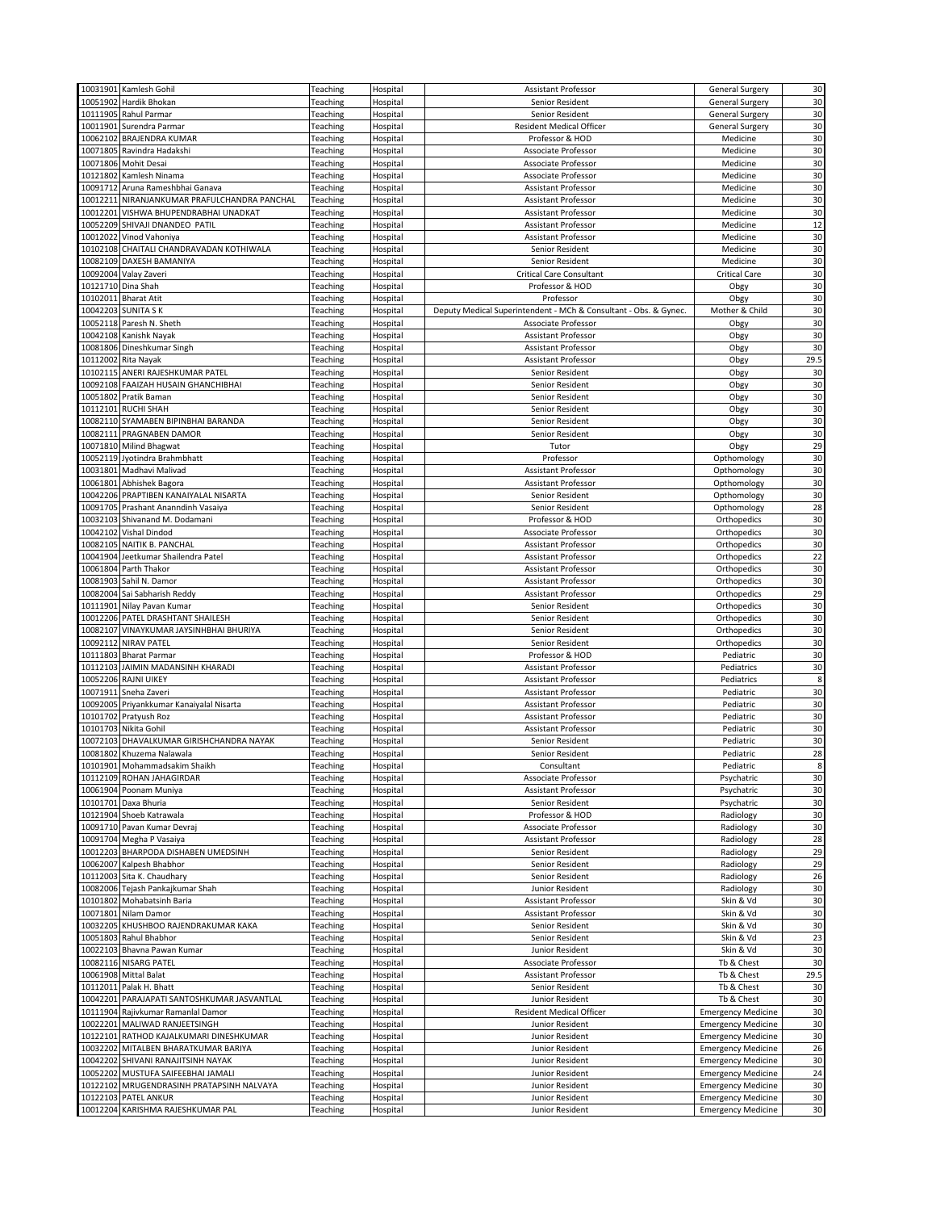|          | 10031901 Kamlesh Gohil                       | Teaching | Hospital | Assistant Professor                                              | <b>General Surgery</b>    | 30     |
|----------|----------------------------------------------|----------|----------|------------------------------------------------------------------|---------------------------|--------|
|          |                                              |          |          |                                                                  |                           |        |
| 10051902 | Hardik Bhokan                                | Teaching | Hospital | Senior Resident                                                  | <b>General Surgery</b>    | 30     |
|          | 10111905 Rahul Parmar                        | Teaching | Hospital | Senior Resident                                                  | General Surgery           | 30     |
|          | 10011901 Surendra Parmar                     | Teaching | Hospital | <b>Resident Medical Officer</b>                                  | <b>General Surgery</b>    | 30     |
| 10062102 | <b>BRAJENDRA KUMAR</b>                       | Teaching | Hospital | Professor & HOD                                                  | Medicine                  | 30     |
|          |                                              |          |          |                                                                  |                           |        |
|          | 10071805 Ravindra Hadakshi                   | Teaching | Hospital | Associate Professor                                              | Medicine                  | 30     |
|          | 10071806 Mohit Desai                         | Teaching | Hospital | Associate Professor                                              | Medicine                  | 30     |
| 10121802 | Kamlesh Ninama                               | Teaching | Hospital | Associate Professor                                              | Medicine                  | 30     |
|          | 10091712 Aruna Rameshbhai Ganava             | Teaching | Hospital | Assistant Professor                                              | Medicine                  | 30     |
|          | 10012211 NIRANJANKUMAR PRAFULCHANDRA PANCHAL | Teaching |          | Assistant Professor                                              | Medicine                  | 30     |
|          |                                              |          | Hospital |                                                                  |                           |        |
|          | 10012201 VISHWA BHUPENDRABHAI UNADKAT        | Teaching | Hospital | Assistant Professor                                              | Medicine                  | 30     |
|          | 10052209 SHIVAJI DNANDEO PATIL               | Teaching | Hospital | Assistant Professor                                              | Medicine                  | 12     |
|          | 10012022 Vinod Vahoniya                      | Teaching | Hospital | Assistant Professor                                              | Medicine                  | 30     |
|          | 10102108 CHAITALI CHANDRAVADAN KOTHIWALA     | Teaching | Hospital | Senior Resident                                                  | Medicine                  | 30     |
|          |                                              |          |          |                                                                  |                           |        |
|          | 10082109 DAXESH BAMANIYA                     | Teaching | Hospital | Senior Resident                                                  | Medicine                  | 30     |
|          | 10092004 Valay Zaveri                        | Teaching | Hospital | <b>Critical Care Consultant</b>                                  | <b>Critical Care</b>      | 30     |
|          | 10121710 Dina Shah                           | Teaching | Hospital | Professor & HOD                                                  | Obgy                      | 30     |
|          | 10102011 Bharat Atit                         | Teaching | Hospital | Professor                                                        | Obgy                      | 30     |
|          | 10042203 SUNITA S K                          | Teaching | Hospital | Deputy Medical Superintendent - MCh & Consultant - Obs. & Gynec. | Mother & Child            | 30     |
|          |                                              |          |          |                                                                  |                           |        |
|          | 10052118 Paresh N. Sheth                     | Teaching | Hospital | Associate Professor                                              | Obgy                      | 30     |
|          | 10042108 Kanishk Nayak                       | Teaching | Hospital | Assistant Professor                                              | Obgy                      | 30     |
|          | 10081806 Dineshkumar Singh                   | Teaching | Hospital | Assistant Professor                                              | Obgy                      | 30     |
|          | 10112002 Rita Nayak                          | Teaching | Hospital | Assistant Professor                                              | Obgy                      | 29.5   |
|          | 10102115 ANERI RAJESHKUMAR PATEL             |          |          |                                                                  | Obgy                      | 30     |
|          |                                              | Teaching | Hospital | Senior Resident                                                  |                           |        |
|          | 10092108 FAAIZAH HUSAIN GHANCHIBHAI          | Teaching | Hospital | Senior Resident                                                  | Obgy                      | 30     |
|          | 10051802 Pratik Baman                        | Teaching | Hospital | Senior Resident                                                  | Obgy                      | 30     |
|          | 10112101 RUCHI SHAH                          | Teaching | Hospital | Senior Resident                                                  | Obgy                      | 30     |
|          | 10082110 SYAMABEN BIPINBHAI BARANDA          | Teaching | Hospital | Senior Resident                                                  | Obgy                      | 30     |
|          |                                              |          |          |                                                                  |                           |        |
|          | 10082111 PRAGNABEN DAMOR                     | Teaching | Hospital | Senior Resident                                                  | Obgy                      | 30     |
|          | 10071810 Milind Bhagwat                      | Teaching | Hospital | Tutor                                                            | Obgy                      | 29     |
|          | 10052119 Jyotindra Brahmbhatt                | Teaching | Hospital | Professor                                                        | Opthomology               | 30     |
|          | 10031801 Madhavi Malivad                     | Teaching | Hospital | Assistant Professor                                              | Opthomology               | 30     |
| 10061801 |                                              |          | Hospital |                                                                  |                           | 30     |
|          | Abhishek Bagora                              | Teaching |          | Assistant Professor                                              | Opthomology               |        |
|          | 10042206 PRAPTIBEN KANAIYALAL NISARTA        | Teaching | Hospital | Senior Resident                                                  | Opthomology               | 30     |
|          | 10091705 Prashant Ananndinh Vasaiya          | Teaching | Hospital | Senior Resident                                                  | Opthomology               | 28     |
| 10032103 | Shivanand M. Dodamani                        | Teaching | Hospital | Professor & HOD                                                  | Orthopedics               | 30     |
| 10042102 | <b>Vishal Dindod</b>                         | Teaching | Hospital | Associate Professor                                              | Orthopedics               | 30     |
|          | 10082105 NAITIK B. PANCHAL                   | Teaching | Hospital | Assistant Professor                                              | Orthopedics               | 30     |
|          |                                              |          |          |                                                                  |                           |        |
|          | 10041904 Jeetkumar Shailendra Patel          | Teaching | Hospital | Assistant Professor                                              | Orthopedics               | 22     |
|          | 10061804 Parth Thakor                        | Teaching | Hospital | Assistant Professor                                              | Orthopedics               | 30     |
|          | 10081903 Sahil N. Damor                      | Teaching | Hospital | Assistant Professor                                              | Orthopedics               | 30     |
|          | 10082004 Sai Sabharish Reddy                 | Teaching | Hospital | <b>Assistant Professor</b>                                       | Orthopedics               | 29     |
| 10111901 | Nilay Pavan Kumar                            | Teaching | Hospital | Senior Resident                                                  | Orthopedics               | 30     |
|          |                                              |          |          |                                                                  |                           |        |
|          | 10012206 PATEL DRASHTANT SHAILESH            | Teaching | Hospital | Senior Resident                                                  | Orthopedics               | 30     |
| 10082107 | VINAYKUMAR JAYSINHBHAI BHURIYA               | Teaching | Hospital | Senior Resident                                                  | Orthopedics               | 30     |
| 10092112 | <b>NIRAV PATEL</b>                           | Teaching | Hospital | Senior Resident                                                  | Orthopedics               | 30     |
| 10111803 | <b>Bharat Parmar</b>                         | Teaching | Hospital | Professor & HOD                                                  | Pediatric                 | 30     |
| 10112103 | JAIMIN MADANSINH KHARADI                     | Teaching | Hospital | Assistant Professor                                              | Pediatrics                | 30     |
|          | 10052206 RAJNI UIKEY                         |          |          | Assistant Professor                                              |                           | 8      |
|          |                                              | Teaching | Hospital |                                                                  | Pediatrics                |        |
|          | 10071911 Sneha Zaveri                        | Teaching | Hospital | Assistant Professor                                              | Pediatric                 | 30     |
|          | 10092005 Priyankkumar Kanaiyalal Nisarta     | Teaching | Hospital | Assistant Professor                                              | Pediatric                 | 30     |
|          | 10101702 Pratyush Roz                        | Teaching | Hospital | Assistant Professor                                              | Pediatric                 | 30     |
|          | 10101703 Nikita Gohil                        | Teaching | Hospital | Assistant Professor                                              | Pediatric                 | 30     |
|          |                                              |          |          |                                                                  |                           |        |
|          | 10072103 DHAVALKUMAR GIRISHCHANDRA NAYAK     | Teaching | Hospital | Senior Resident                                                  | Pediatric                 | 30     |
|          | 10081802 Khuzema Nalawala                    | Teaching | Hospital | Senior Resident                                                  | Pediatric                 | 28     |
|          | 10101901 Mohammadsakim Shaikh                | Teaching | Hospital | Consultant                                                       | Pediatric                 | 8      |
|          | 10112109 ROHAN JAHAGIRDAR                    | Teaching | Hospital | Associate Professor                                              | Psychatric                | 30     |
| 10061904 | Poonam Muniya                                | Teaching | Hospital | Assistant Professor                                              | Psychatric                | 30     |
|          | 10101701 Daxa Bhuria                         |          |          | Senior Resident                                                  |                           | 30     |
|          |                                              | Teaching | Hospital |                                                                  | Psychatric                |        |
|          | 10121904 Shoeb Katrawala                     | Teaching | Hospital | Professor & HOD                                                  | Radiology                 | 30     |
|          | 10091710 Pavan Kumar Devraj                  | Teaching | Hospital | Associate Professor                                              | Radiology                 | 30     |
|          | 10091704 Megha P Vasaiya                     | Teaching | Hospital | Assistant Professor                                              | Radiology                 | 28     |
|          | 10012203 BHARPODA DISHABEN UMEDSINH          | Teaching | Hospital | Senior Resident                                                  | Radiology                 | 29     |
| 10062007 |                                              |          |          | Senior Resident                                                  |                           | 29     |
|          | Kalpesh Bhabhor                              | Teaching | Hospital |                                                                  | Radiology                 |        |
| 10112003 | Sita K. Chaudhary                            | Teaching | Hospital | Senior Resident                                                  | Radiology                 | 26     |
|          | 10082006 Tejash Pankajkumar Shah             | Teaching | Hospital | Junior Resident                                                  | Radiology                 | 30     |
| 10101802 | Mohabatsinh Baria                            | Teaching | Hospital | Assistant Professor                                              | Skin & Vd                 | 30     |
|          | 10071801 Nilam Damor                         | Teaching | Hospital | Assistant Professor                                              | Skin & Vd                 | 30     |
|          | 10032205 KHUSHBOO RAJENDRAKUMAR KAKA         | Teaching | Hospital | Senior Resident                                                  | Skin & Vd                 | 30     |
|          |                                              |          |          |                                                                  |                           |        |
|          | 10051803 Rahul Bhabhor                       | Teaching | Hospital | Senior Resident                                                  | Skin & Vd                 | 23     |
|          | 10022103 Bhavna Pawan Kumar                  | Teaching | Hospital | Junior Resident                                                  | Skin & Vd                 | 30     |
|          | 10082116 NISARG PATEL                        | Teaching | Hospital | Associate Professor                                              | Tb & Chest                | 30     |
|          | 10061908 Mittal Balat                        | Teaching | Hospital | Assistant Professor                                              | Tb & Chest                | 29.5   |
|          | 10112011 Palak H. Bhatt                      | Teaching | Hospital | Senior Resident                                                  | Tb & Chest                | 30     |
|          | 10042201 PARAJAPATI SANTOSHKUMAR JASVANTLAL  |          |          |                                                                  |                           | 30     |
|          |                                              | Teaching | Hospital | Junior Resident                                                  | Tb & Chest                |        |
|          | 10111904 Rajivkumar Ramanlal Damor           | Teaching | Hospital | <b>Resident Medical Officer</b>                                  | <b>Emergency Medicine</b> | 30     |
|          | 10022201 MALIWAD RANJEETSINGH                | Teaching | Hospital | Junior Resident                                                  | <b>Emergency Medicine</b> | 30     |
|          | 10122101 RATHOD KAJALKUMARI DINESHKUMAR      | Teaching | Hospital | Junior Resident                                                  | <b>Emergency Medicine</b> | 30     |
|          | 10032202 MITALBEN BHARATKUMAR BARIYA         | Teaching | Hospital | Junior Resident                                                  | <b>Emergency Medicine</b> | 26     |
|          | 10042202 SHIVANI RANAJITSINH NAYAK           |          | Hospital |                                                                  |                           | 30     |
|          |                                              | Teaching |          | Junior Resident                                                  | <b>Emergency Medicine</b> |        |
|          | 10052202 MUSTUFA SAIFEEBHAI JAMALI           | Teaching | Hospital | Junior Resident                                                  | <b>Emergency Medicine</b> | 24     |
|          | 10122102 MRUGENDRASINH PRATAPSINH NALVAYA    | Teaching | Hospital | Junior Resident                                                  | <b>Emergency Medicine</b> | 30     |
|          | 10122103 PATEL ANKUR                         | Teaching | Hospital | Junior Resident                                                  | <b>Emergency Medicine</b> | 30     |
|          | 10012204 KARISHMA RAJESHKUMAR PAL            | Teaching | Hospital | Junior Resident                                                  | <b>Emergency Medicine</b> | $30\,$ |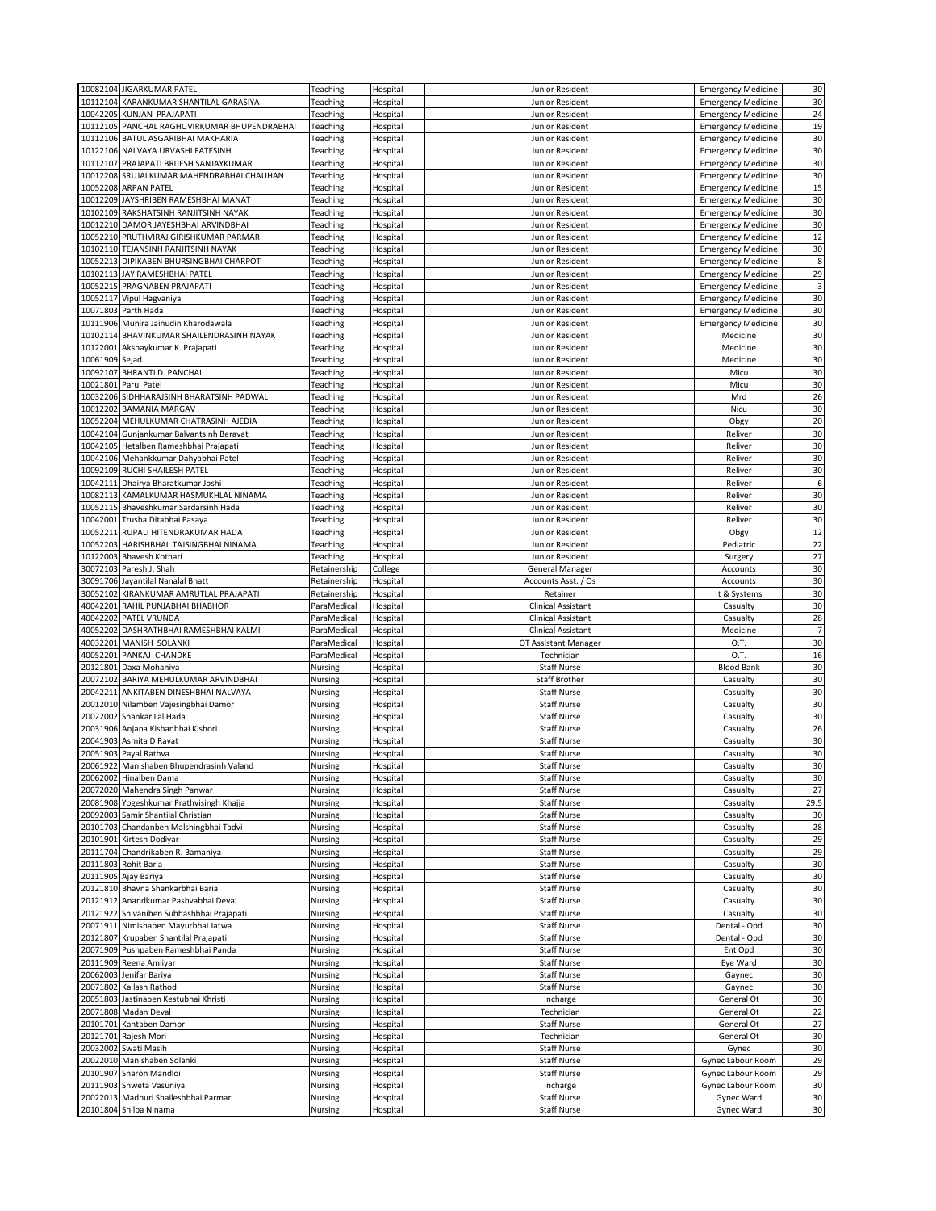|                         | 10082104 JIGARKUMAR PATEL                             | Teaching           | Hospital             | Junior Resident                          | <b>Emergency Medicine</b> | 30              |
|-------------------------|-------------------------------------------------------|--------------------|----------------------|------------------------------------------|---------------------------|-----------------|
|                         |                                                       |                    |                      |                                          |                           |                 |
|                         | 10112104 KARANKUMAR SHANTILAL GARASIYA                | Teaching           | Hospital             | Junior Resident                          | <b>Emergency Medicine</b> | 30              |
|                         | 10042205 KUNJAN PRAJAPATI                             | Teaching           | Hospital             | Junior Resident                          | <b>Emergency Medicine</b> | 24              |
|                         | 10112105 PANCHAL RAGHUVIRKUMAR BHUPENDRABHAI          | Teaching           | Hospital             | Junior Resident                          | <b>Emergency Medicine</b> | 19              |
|                         | 10112106 BATUL ASGARIBHAI MAKHARIA                    | Teaching           | Hospital             | Junior Resident                          | <b>Emergency Medicine</b> | 30              |
|                         |                                                       |                    |                      |                                          |                           |                 |
|                         | 10122106 NALVAYA URVASHI FATESINH                     | Teaching           | Hospital             | Junior Resident                          | <b>Emergency Medicine</b> | 30              |
|                         | 10112107 PRAJAPATI BRIJESH SANJAYKUMAR                | Teaching           | Hospital             | Junior Resident                          | <b>Emergency Medicine</b> | 30              |
|                         | 10012208 SRUJALKUMAR MAHENDRABHAI CHAUHAN             | Teaching           | Hospital             | Junior Resident                          | <b>Emergency Medicine</b> | 30              |
|                         |                                                       |                    |                      |                                          |                           |                 |
|                         | 10052208 ARPAN PATEL                                  | Teaching           | Hospital             | Junior Resident                          | <b>Emergency Medicine</b> | 15              |
|                         | 10012209 JAYSHRIBEN RAMESHBHAI MANAT                  | Teaching           | Hospital             | Junior Resident                          | <b>Emergency Medicine</b> | 30              |
|                         | 10102109 RAKSHATSINH RANJITSINH NAYAK                 | Teaching           | Hospital             | Junior Resident                          | <b>Emergency Medicine</b> | 30              |
|                         |                                                       |                    |                      |                                          |                           |                 |
|                         | 10012210 DAMOR JAYESHBHAI ARVINDBHAI                  | Teaching           | Hospital             | Junior Resident                          | <b>Emergency Medicine</b> | 30              |
|                         | 10052210 PRUTHVIRAJ GIRISHKUMAR PARMAR                | Teaching           | Hospital             | Junior Resident                          | <b>Emergency Medicine</b> | 12              |
|                         | 10102110 TEJANSINH RANJITSINH NAYAK                   | Teaching           | Hospital             | Junior Resident                          | <b>Emergency Medicine</b> | 30              |
|                         |                                                       |                    |                      |                                          |                           |                 |
|                         | 10052213 DIPIKABEN BHURSINGBHAI CHARPOT               | Teaching           | Hospital             | Junior Resident                          | <b>Emergency Medicine</b> | 8               |
|                         | 10102113 JAY RAMESHBHAI PATEL                         | Teaching           | Hospital             | Junior Resident                          | <b>Emergency Medicine</b> | 29              |
|                         | 10052215 PRAGNABEN PRAJAPATI                          | Teaching           | Hospital             | Junior Resident                          | <b>Emergency Medicine</b> | 3               |
|                         |                                                       |                    | Hospital             |                                          |                           | 30              |
|                         | 10052117 Vipul Hagvaniya                              | Teaching           |                      | Junior Resident                          | <b>Emergency Medicine</b> |                 |
|                         | 10071803 Parth Hada                                   | Teaching           | Hospital             | Junior Resident                          | <b>Emergency Medicine</b> | 30              |
|                         | 10111906 Munira Jainudin Kharodawala                  | Teaching           | Hospital             | Junior Resident                          | <b>Emergency Medicine</b> | 30              |
|                         | 10102114 BHAVINKUMAR SHAILENDRASINH NAYAK             | Teaching           | Hospital             | Junior Resident                          | Medicine                  | 30              |
|                         |                                                       |                    |                      |                                          |                           |                 |
|                         | 10122001 Akshaykumar K. Prajapati                     | Teaching           | Hospital             | Junior Resident                          | Medicine                  | 30              |
| 10061909 Sejad          |                                                       | Teaching           | Hospital             | Junior Resident                          | Medicine                  | 30              |
|                         | 10092107 BHRANTI D. PANCHAL                           | Teaching           | Hospital             | Junior Resident                          | Micu                      | 30              |
|                         |                                                       |                    |                      |                                          |                           |                 |
|                         | 10021801 Parul Patel                                  | Teaching           | Hospital             | Junior Resident                          | Micu                      | 30              |
|                         | 10032206 SIDHHARAJSINH BHARATSINH PADWAL              | Teaching           | Hospital             | Junior Resident                          | Mrd                       | 26              |
|                         | 10012202 BAMANIA MARGAV                               | Teaching           | Hospital             | Junior Resident                          | Nicu                      | 30              |
|                         |                                                       |                    |                      |                                          |                           |                 |
|                         | 10052204 MEHULKUMAR CHATRASINH AJEDIA                 | Teaching           | Hospital             | Junior Resident                          | Obgy                      | 20              |
| 10042104                | Gunjankumar Balvantsinh Beravat                       | Teaching           | Hospital             | Junior Resident                          | Reliver                   | 30              |
|                         | 10042105 Hetalben Rameshbhai Prajapati                | Teaching           | Hospital             | Junior Resident                          | Reliver                   | 30              |
|                         |                                                       |                    |                      |                                          |                           |                 |
|                         | 10042106 Mehankkumar Dahyabhai Patel                  | Teaching           | Hospital             | Junior Resident                          | Reliver                   | 30              |
|                         | 10092109 RUCHI SHAILESH PATEL                         | Teaching           | Hospital             | Junior Resident                          | Reliver                   | 30              |
|                         | 10042111 Dhairya Bharatkumar Joshi                    | Teaching           | Hospital             | Junior Resident                          | Reliver                   | 6               |
|                         |                                                       |                    |                      |                                          |                           | 30              |
|                         | 10082113 KAMALKUMAR HASMUKHLAL NINAMA                 | Teaching           | Hospital             | Junior Resident                          | Reliver                   |                 |
|                         | 10052115 Bhaveshkumar Sardarsinh Hada                 | Teaching           | Hospital             | Junior Resident                          | Reliver                   | 30              |
| 10042001                | Trusha Ditabhai Pasaya                                | Teaching           | Hospital             | Junior Resident                          | Reliver                   | 30              |
| 10052211                | RUPALI HITENDRAKUMAR HADA                             |                    |                      | Junior Resident                          |                           | 12              |
|                         |                                                       | Teaching           | Hospital             |                                          | Obgy                      |                 |
| 10052203                | HARISHBHAI TAJSINGBHAI NINAMA                         | Teaching           | Hospital             | Junior Resident                          | Pediatric                 | $\overline{22}$ |
| 10122003                | Bhavesh Kothari                                       | Teaching           | Hospital             | Junior Resident                          | Surgery                   | 27              |
|                         |                                                       |                    |                      |                                          |                           | 30              |
|                         | 30072103 Paresh J. Shah                               | Retainership       | College              | <b>General Manager</b>                   | Accounts                  |                 |
|                         | 30091706 Jayantilal Nanalal Bhatt                     | Retainership       | Hospital             | Accounts Asst. / Os                      | Accounts                  | 30              |
| 30052102                | KIRANKUMAR AMRUTLAL PRAJAPATI                         | Retainership       | Hospital             | Retainer                                 | It & Systems              | 30              |
|                         | 40042201 RAHIL PUNJABHAI BHABHOR                      | ParaMedical        | Hospital             | <b>Clinical Assistant</b>                | Casualty                  | 30              |
|                         |                                                       |                    |                      |                                          |                           |                 |
|                         | 40042202 PATEL VRUNDA                                 | ParaMedical        | Hospital             | Clinical Assistant                       | Casualty                  | 28              |
|                         | 40052202 DASHRATHBHAI RAMESHBHAI KALMI                | ParaMedical        | Hospital             | Clinical Assistant                       | Medicine                  |                 |
| 40032201                | MANISH SOLANKI                                        | ParaMedical        | Hospital             | OT Assistant Manager                     | O.T.                      | 30              |
|                         |                                                       |                    |                      |                                          |                           |                 |
|                         | 40052201 PANKAJ CHANDKE                               | ParaMedical        | Hospital             | Technician                               | O.T.                      | 16              |
| 20121801                | Daxa Mohaniya                                         | Nursing            | Hospital             | <b>Staff Nurse</b>                       | <b>Blood Bank</b>         | 30              |
| 20072102                | BARIYA MEHULKUMAR ARVINDBHAI                          | Nursing            | Hospital             | <b>Staff Brother</b>                     | Casualty                  | 30              |
|                         | 20042211 ANKITABEN DINESHBHAI NALVAYA                 | Nursing            | Hospital             | <b>Staff Nurse</b>                       |                           | 30              |
|                         |                                                       |                    |                      |                                          | Casualty                  |                 |
|                         | 20012010 Nilamben Vajesingbhai Damor                  | Nursing            | Hospital             | <b>Staff Nurse</b>                       | Casualty                  | 30              |
| 20022002                | Shankar Lal Hada                                      | Nursing            | Hospital             | <b>Staff Nurse</b>                       | Casualty                  | 30              |
|                         |                                                       | Nursing            |                      |                                          |                           |                 |
|                         | 20031906 Anjana Kishanbhai Kishori                    |                    |                      |                                          |                           |                 |
| 20041903 Asmita D Ravat |                                                       |                    | Hospital             | <b>Staff Nurse</b>                       | Casualty                  | 26              |
|                         |                                                       | Nursing            | Hospital             | <b>Staff Nurse</b>                       | Casualty                  | 30              |
|                         | 20051903 Payal Rathva                                 | Nursing            | Hospital             | <b>Staff Nurse</b>                       | Casualty                  | 30              |
|                         |                                                       |                    |                      |                                          | Casualty                  |                 |
|                         | 20061922 Manishaben Bhupendrasinh Valand              | Nursing            | Hospital             | <b>Staff Nurse</b>                       |                           | 30              |
|                         | 20062002 Hinalben Dama                                | Nursing            | Hospital             | <b>Staff Nurse</b>                       | Casualty                  | 30              |
| 20072020                | Mahendra Singh Panwar                                 | Nursing            | Hospital             | <b>Staff Nurse</b>                       | Casualty                  | 27              |
|                         | 20081908 Yogeshkumar Prathvisingh Khajja              | Nursing            | Hospital             | <b>Staff Nurse</b>                       | Casualty                  |                 |
|                         |                                                       |                    |                      |                                          |                           | 29.5            |
|                         | 20092003 Samir Shantilal Christian                    | Nursing            | Hospital             | Staff Nurse                              | Casualty                  | 30              |
| 20101703                | Chandanben Malshingbhai Tadvi                         | Nursing            | Hospital             | <b>Staff Nurse</b>                       | Casualty                  | 28              |
|                         | 20101901 Kirtesh Dodiyar                              | Nursing            | Hospital             | <b>Staff Nurse</b>                       | Casualty                  | 29              |
|                         |                                                       |                    |                      |                                          |                           |                 |
|                         | 20111704 Chandrikaben R. Bamaniya                     | Nursing            | Hospital             | Staff Nurse                              | Casualty                  | 29              |
| 20111803                | <b>Rohit Baria</b>                                    | Nursing            | Hospital             | <b>Staff Nurse</b>                       | Casualty                  | 30              |
|                         | 20111905 Ajay Bariya                                  | Nursing            | Hospital             | <b>Staff Nurse</b>                       | Casualty                  | 30              |
|                         |                                                       |                    |                      |                                          |                           |                 |
|                         | 20121810 Bhavna Shankarbhai Baria                     | Nursing            | Hospital             | <b>Staff Nurse</b>                       | Casualty                  | 30              |
| 20121912                | Anandkumar Pashvabhai Deval                           | Nursing            | Hospital             | <b>Staff Nurse</b>                       | Casualty                  | 30              |
|                         | 20121922 Shivaniben Subhashbhai Prajapati             | Nursing            | Hospital             | <b>Staff Nurse</b>                       | Casualty                  | 30              |
|                         | 20071911 Nimishaben Mayurbhai Jatwa                   | Nursing            | Hospital             | <b>Staff Nurse</b>                       | Dental - Opd              | 30              |
|                         |                                                       |                    |                      |                                          |                           |                 |
|                         | 20121807 Krupaben Shantilal Prajapati                 | Nursing            | Hospital             | <b>Staff Nurse</b>                       | Dental - Opd              | 30              |
|                         | 20071909 Pushpaben Rameshbhai Panda                   | Nursing            | Hospital             | <b>Staff Nurse</b>                       | Ent Opd                   | 30              |
|                         | 20111909 Reena Amliyar                                | Nursing            | Hospital             | <b>Staff Nurse</b>                       | Eye Ward                  | 30              |
|                         |                                                       |                    |                      |                                          |                           |                 |
| 20062003                | Jenifar Bariya                                        | Nursing            | Hospital             | <b>Staff Nurse</b>                       | Gaynec                    | 30              |
| 20071802                | Kailash Rathod                                        | Nursing            | Hospital             | <b>Staff Nurse</b>                       | Gaynec                    | 30              |
|                         | 20051803 Jastinaben Kestubhai Khristi                 | Nursing            | Hospital             | Incharge                                 | General Ot                | 30              |
|                         |                                                       |                    |                      |                                          |                           |                 |
|                         | 20071808 Madan Deval                                  | Nursing            | Hospital             | Technician                               | General Ot                | 22              |
|                         | 20101701 Kantaben Damor                               | Nursing            | Hospital             | <b>Staff Nurse</b>                       | General Ot                | 27              |
|                         | 20121701 Rajesh Mori                                  | Nursing            | Hospital             | Technician                               | General Ot                | 30              |
|                         |                                                       |                    |                      |                                          |                           |                 |
|                         | 20032002 Swati Masih                                  | Nursing            | Hospital             | <b>Staff Nurse</b>                       | Gynec                     | 30              |
|                         | 20022010 Manishaben Solanki                           | Nursing            | Hospital             | <b>Staff Nurse</b>                       | Gynec Labour Room         | 29              |
|                         | 20101907 Sharon Mandloi                               | Nursing            | Hospital             | <b>Staff Nurse</b>                       | Gynec Labour Room         | 29              |
|                         |                                                       |                    |                      |                                          |                           |                 |
|                         | 20111903 Shweta Vasuniya                              | Nursing            | Hospital             | Incharge                                 | Gynec Labour Room         | 30              |
| 20022013                | Madhuri Shaileshbhai Parmar<br>20101804 Shilpa Ninama | Nursing<br>Nursing | Hospital<br>Hospital | <b>Staff Nurse</b><br><b>Staff Nurse</b> | Gynec Ward<br>Gynec Ward  | 30<br>$30\,$    |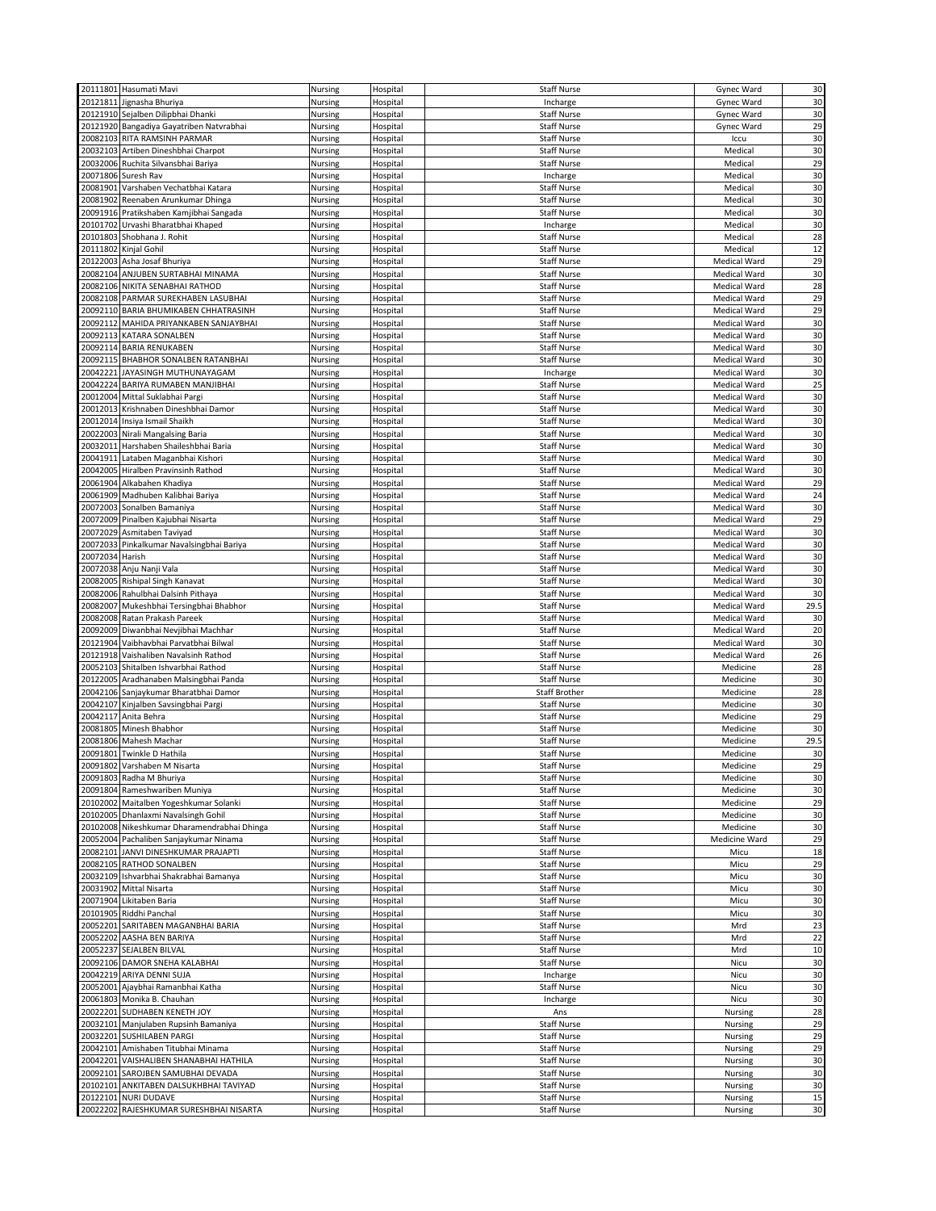|                 | 20111801 Hasumati Mavi                      | Nursing | Hospital | <b>Staff Nurse</b>   | Gynec Ward          | 30   |
|-----------------|---------------------------------------------|---------|----------|----------------------|---------------------|------|
|                 | 20121811 Jignasha Bhuriya                   | Nursing |          |                      |                     | 30   |
|                 |                                             |         | Hospital | Incharge             | Gynec Ward          |      |
|                 | 20121910 Sejalben Dilipbhai Dhanki          | Nursing | Hospital | <b>Staff Nurse</b>   | Gynec Ward          | 30   |
|                 | 20121920 Bangadiya Gayatriben Natvrabhai    | Nursing | Hospital | Staff Nurse          | Gynec Ward          | 29   |
|                 | 20082103 RITA RAMSINH PARMAR                | Nursing | Hospital | <b>Staff Nurse</b>   | Iccu                | 30   |
|                 | 20032103 Artiben Dineshbhai Charpot         | Nursing | Hospital | <b>Staff Nurse</b>   | Medical             | 30   |
|                 | 20032006 Ruchita Silvansbhai Bariya         | Nursing | Hospital | Staff Nurse          | Medical             | 29   |
| 20071806        | Suresh Rav                                  | Nursing | Hospital | Incharge             | Medical             | 30   |
|                 | 20081901 Varshaben Vechatbhai Katara        |         |          |                      |                     |      |
|                 |                                             | Nursing | Hospital | <b>Staff Nurse</b>   | Medical             | 30   |
|                 | 20081902 Reenaben Arunkumar Dhinga          | Nursing | Hospital | <b>Staff Nurse</b>   | Medical             | 30   |
|                 | 20091916 Pratikshaben Kamjibhai Sangada     | Nursing | Hospital | <b>Staff Nurse</b>   | Medical             | 30   |
|                 | 20101702 Urvashi Bharatbhai Khaped          | Nursing | Hospital | Incharge             | Medical             | 30   |
|                 | 20101803 Shobhana J. Rohit                  | Nursing | Hospital | <b>Staff Nurse</b>   | Medical             | 28   |
|                 | 20111802 Kinjal Gohil                       | Nursing | Hospital | <b>Staff Nurse</b>   | Medical             | 12   |
|                 | 20122003 Asha Josaf Bhuriya                 | Nursing | Hospital | <b>Staff Nurse</b>   | Medical Ward        | 29   |
|                 | 20082104 ANJUBEN SURTABHAI MINAMA           | Nursing | Hospital | <b>Staff Nurse</b>   | <b>Medical Ward</b> | 30   |
|                 |                                             |         |          |                      |                     |      |
|                 | 20082106 NIKITA SENABHAI RATHOD             | Nursing | Hospital | <b>Staff Nurse</b>   | <b>Medical Ward</b> | 28   |
|                 | 20082108 PARMAR SUREKHABEN LASUBHAI         | Nursing | Hospital | <b>Staff Nurse</b>   | Medical Ward        | 29   |
|                 | 20092110 BARIA BHUMIKABEN CHHATRASINH       | Nursing | Hospital | <b>Staff Nurse</b>   | Medical Ward        | 29   |
|                 | 20092112 MAHIDA PRIYANKABEN SANJAYBHAI      | Nursing | Hospital | <b>Staff Nurse</b>   | Medical Ward        | 30   |
|                 | 20092113 KATARA SONALBEN                    | Nursing | Hospital | <b>Staff Nurse</b>   | Medical Ward        | 30   |
|                 | 20092114 BARIA RENUKABEN                    | Nursing | Hospital | <b>Staff Nurse</b>   | Medical Ward        | 30   |
|                 | 20092115 BHABHOR SONALBEN RATANBHAI         | Nursing | Hospital | <b>Staff Nurse</b>   | Medical Ward        | 30   |
|                 |                                             |         |          |                      |                     |      |
|                 | 20042221 JAYASINGH MUTHUNAYAGAM             | Nursing | Hospital | Incharge             | <b>Medical Ward</b> | 30   |
|                 | 20042224 BARIYA RUMABEN MANJIBHAI           | Nursing | Hospital | <b>Staff Nurse</b>   | <b>Medical Ward</b> | 25   |
|                 | 20012004 Mittal Suklabhai Pargi             | Nursing | Hospital | <b>Staff Nurse</b>   | Medical Ward        | 30   |
|                 | 20012013 Krishnaben Dineshbhai Damor        | Nursing | Hospital | <b>Staff Nurse</b>   | Medical Ward        | 30   |
|                 | 20012014 Insiya Ismail Shaikh               | Nursing | Hospital | <b>Staff Nurse</b>   | Medical Ward        | 30   |
|                 | 20022003 Nirali Mangalsing Baria            | Nursing | Hospital | <b>Staff Nurse</b>   | Medical Ward        | 30   |
|                 | 20032011 Harshaben Shaileshbhai Baria       | Nursing | Hospital | <b>Staff Nurse</b>   | Medical Ward        | 30   |
| 20041911        | Lataben Maganbhai Kishori                   | Nursing | Hospital | <b>Staff Nurse</b>   | Medical Ward        | 30   |
|                 |                                             |         |          |                      |                     |      |
|                 | 20042005 Hiralben Pravinsinh Rathod         | Nursing | Hospital | Staff Nurse          | Medical Ward        | 30   |
|                 | 20061904 Alkabahen Khadiya                  | Nursing | Hospital | <b>Staff Nurse</b>   | <b>Medical Ward</b> | 29   |
|                 | 20061909 Madhuben Kalibhai Bariya           | Nursing | Hospital | <b>Staff Nurse</b>   | Medical Ward        | 24   |
|                 | 20072003 Sonalben Bamaniya                  | Nursing | Hospital | <b>Staff Nurse</b>   | Medical Ward        | 30   |
|                 | 20072009 Pinalben Kajubhai Nisarta          | Nursing | Hospital | <b>Staff Nurse</b>   | <b>Medical Ward</b> | 29   |
|                 | 20072029 Asmitaben Taviyad                  | Nursing | Hospital | <b>Staff Nurse</b>   | Medical Ward        | 30   |
|                 | 20072033 Pinkalkumar Navalsingbhai Bariya   | Nursing | Hospital | <b>Staff Nurse</b>   | Medical Ward        | 30   |
|                 |                                             |         |          |                      |                     |      |
| 20072034 Harish |                                             | Nursing | Hospital | <b>Staff Nurse</b>   | <b>Medical Ward</b> | 30   |
|                 | 20072038 Anju Nanji Vala                    | Nursing | Hospital | <b>Staff Nurse</b>   | Medical Ward        | 30   |
|                 | 20082005 Rishipal Singh Kanavat             | Nursing | Hospital | <b>Staff Nurse</b>   | Medical Ward        | 30   |
|                 |                                             |         |          |                      |                     | 30   |
|                 | 20082006 Rahulbhai Dalsinh Pithaya          | Nursing | Hospital | <b>Staff Nurse</b>   | <b>Medical Ward</b> |      |
|                 |                                             |         |          | <b>Staff Nurse</b>   | Medical Ward        |      |
|                 | 20082007 Mukeshbhai Tersingbhai Bhabhor     | Nursing | Hospital |                      |                     | 29.5 |
|                 | 20082008 Ratan Prakash Pareek               | Nursing | Hospital | <b>Staff Nurse</b>   | Medical Ward        | 30   |
|                 | 20092009 Diwanbhai Nevjibhai Machhar        | Nursing | Hospital | <b>Staff Nurse</b>   | Medical Ward        | 20   |
|                 | 20121904 Vaibhavbhai Parvatbhai Bilwal      | Nursing | Hospital | <b>Staff Nurse</b>   | Medical Ward        | 30   |
|                 | 20121918 Vaishaliben Navalsinh Rathod       | Nursing | Hospital | <b>Staff Nurse</b>   | Medical Ward        | 26   |
|                 | 20052103 Shitalben Ishvarbhai Rathod        | Nursing | Hospital | <b>Staff Nurse</b>   | Medicine            | 28   |
|                 | 20122005 Aradhanaben Malsingbhai Panda      | Nursing | Hospital | <b>Staff Nurse</b>   | Medicine            | 30   |
|                 | 20042106 Sanjaykumar Bharatbhai Damor       | Nursing | Hospital | <b>Staff Brother</b> | Medicine            | 28   |
|                 |                                             |         |          |                      |                     |      |
|                 | 20042107 Kinjalben Savsingbhai Pargi        | Nursing | Hospital | <b>Staff Nurse</b>   | Medicine            | 30   |
| 20042117        | Anita Behra                                 | Nursing | Hospital | <b>Staff Nurse</b>   | Medicine            | 29   |
|                 | 20081805 Minesh Bhabhor                     | Nursing | Hospital | <b>Staff Nurse</b>   | Medicine            | 30   |
|                 | 20081806 Mahesh Machar                      | Nursing | Hospital | <b>Staff Nurse</b>   | Medicine            | 29.5 |
|                 | 20091801 Twinkle D Hathila                  | Nursing | Hospital | <b>Staff Nurse</b>   | Medicine            | 30   |
|                 | 20091802 Varshaben M Nisarta                | Nursing | Hospital | <b>Staff Nurse</b>   | Medicine            | 29   |
|                 | 20091803 Radha M Bhuriya                    | Nursing | Hospital | <b>Staff Nurse</b>   | Medicine            | 30   |
|                 | 20091804 Rameshwariben Muniya               | Nursing | Hospital | <b>Staff Nurse</b>   | Medicine            | 30   |
|                 | 20102002 Maitalben Yogeshkumar Solanki      | Nursing | Hospital | <b>Staff Nurse</b>   | Medicine            | 29   |
|                 | 20102005 Dhanlaxmi Navalsingh Gohil         |         |          |                      |                     |      |
|                 |                                             | Nursing | Hospital | <b>Staff Nurse</b>   | Medicine            | 30   |
|                 | 20102008 Nikeshkumar Dharamendrabhai Dhinga | Nursing | Hospital | <b>Staff Nurse</b>   | Medicine            | 30   |
|                 | 20052004 Pachaliben Sanjaykumar Ninama      | Nursing | Hospital | <b>Staff Nurse</b>   | Medicine Ward       | 29   |
|                 | 20082101 JANVI DINESHKUMAR PRAJAPTI         | Nursing | Hospital | <b>Staff Nurse</b>   | Micu                | 18   |
|                 | 20082105 RATHOD SONALBEN                    | Nursing | Hospital | <b>Staff Nurse</b>   | Micu                | 29   |
|                 | 20032109 Ishvarbhai Shakrabhai Bamanya      | Nursing | Hospital | <b>Staff Nurse</b>   | Micu                | 30   |
|                 | 20031902 Mittal Nisarta                     | Nursing | Hospital | <b>Staff Nurse</b>   | Micu                | 30   |
|                 | 20071904 Likitaben Baria                    | Nursing | Hospital | <b>Staff Nurse</b>   | Micu                | 30   |
|                 | 20101905 Riddhi Panchal                     | Nursing | Hospital | <b>Staff Nurse</b>   | Micu                | 30   |
|                 |                                             |         |          |                      |                     |      |
|                 | 20052201 SARITABEN MAGANBHAI BARIA          | Nursing | Hospital | <b>Staff Nurse</b>   | Mrd                 | 23   |
|                 | 20052202 AASHA BEN BARIYA                   | Nursing | Hospital | Staff Nurse          | Mrd                 | 22   |
|                 | 20052237 SEJALBEN BILVAL                    | Nursing | Hospital | <b>Staff Nurse</b>   | Mrd                 | 10   |
|                 | 20092106 DAMOR SNEHA KALABHAI               | Nursing | Hospital | <b>Staff Nurse</b>   | Nicu                | 30   |
|                 | 20042219 ARIYA DENNI SUJA                   | Nursing | Hospital | Incharge             | Nicu                | 30   |
|                 | 20052001 Ajaybhai Ramanbhai Katha           | Nursing | Hospital | <b>Staff Nurse</b>   | Nicu                | 30   |
|                 | 20061803 Monika B. Chauhan                  | Nursing | Hospital | Incharge             | Nicu                | 30   |
|                 |                                             |         |          |                      |                     |      |
|                 | 20022201 SUDHABEN KENETH JOY                | Nursing | Hospital | Ans                  | Nursing             | 28   |
|                 | 20032101 Manjulaben Rupsinh Bamaniya        | Nursing | Hospital | <b>Staff Nurse</b>   | Nursing             | 29   |
|                 | 20032201 SUSHILABEN PARGI                   | Nursing | Hospital | <b>Staff Nurse</b>   | Nursing             | 29   |
|                 | 20042101 Amishaben Titubhai Minama          | Nursing | Hospital | <b>Staff Nurse</b>   | Nursing             | 29   |
|                 | 20042201 VAISHALIBEN SHANABHAI HATHILA      | Nursing | Hospital | <b>Staff Nurse</b>   | Nursing             | 30   |
|                 | 20092101 SAROJBEN SAMUBHAI DEVADA           | Nursing | Hospital | <b>Staff Nurse</b>   | Nursing             | 30   |
|                 | 20102101 ANKITABEN DALSUKHBHAI TAVIYAD      | Nursing | Hospital | <b>Staff Nurse</b>   | Nursing             | 30   |
|                 | 20122101 NURI DUDAVE                        | Nursing | Hospital | <b>Staff Nurse</b>   | Nursing             | 15   |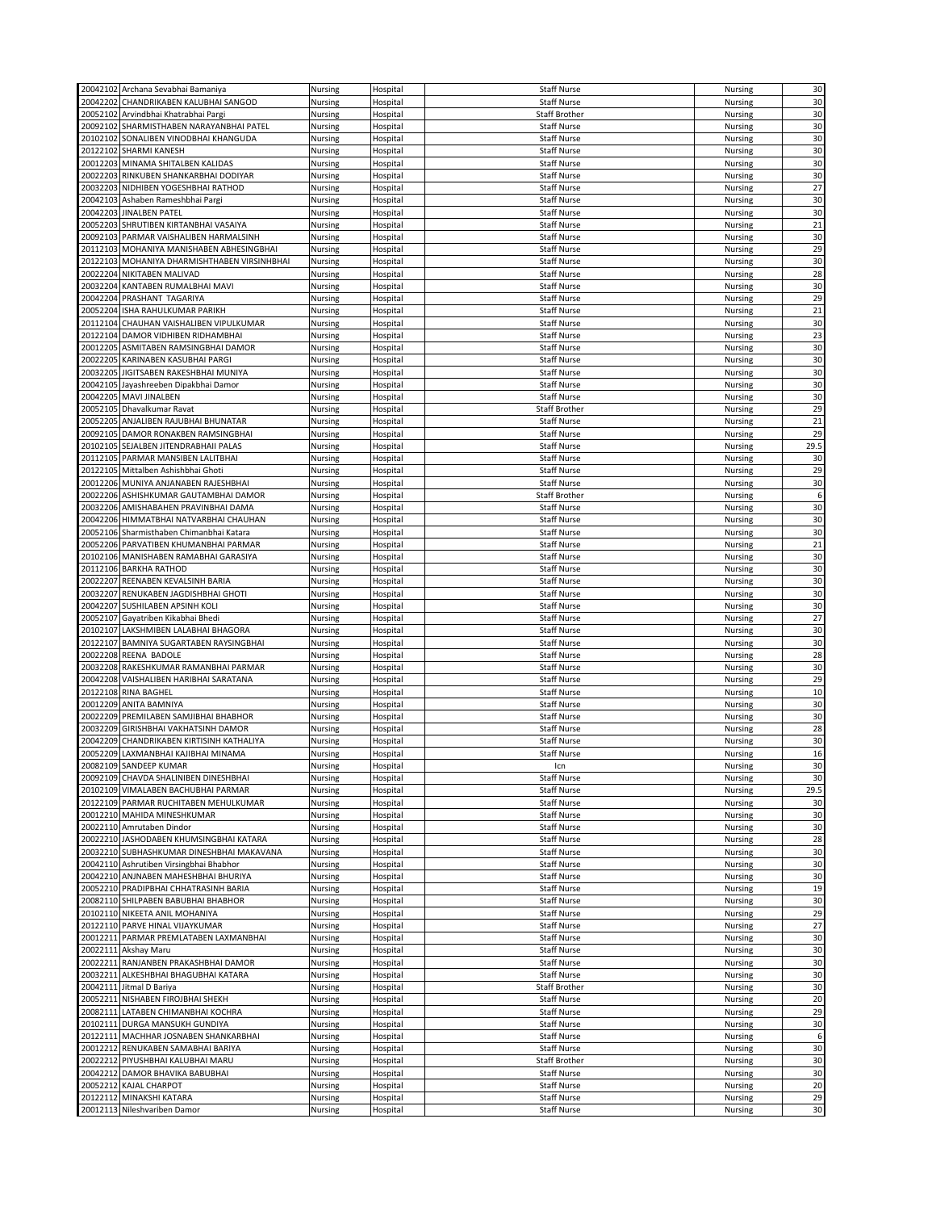|          |                                                          |                    |                      |                                   |                    | 30           |
|----------|----------------------------------------------------------|--------------------|----------------------|-----------------------------------|--------------------|--------------|
|          | 20042102 Archana Sevabhai Bamaniya                       | Nursing            | Hospital             | <b>Staff Nurse</b>                | Nursing            |              |
|          | 20042202 CHANDRIKABEN KALUBHAI SANGOD                    | Nursing            | Hospital             | <b>Staff Nurse</b>                | Nursing            | 30           |
|          | 20052102 Arvindbhai Khatrabhai Pargi                     | Nursing            | Hospital             | <b>Staff Brother</b>              | Nursing            | 30           |
|          | 20092102 SHARMISTHABEN NARAYANBHAI PATEL                 | Nursing            | Hospital             | <b>Staff Nurse</b>                | Nursing            | 30           |
|          |                                                          |                    |                      |                                   |                    |              |
|          | 20102102 SONALIBEN VINODBHAI KHANGUDA                    | Nursing            | Hospital             | <b>Staff Nurse</b>                | Nursing            | 30           |
|          | 20122102 SHARMI KANESH                                   | Nursing            | Hospital             | <b>Staff Nurse</b>                | Nursing            | 30           |
|          | 20012203 MINAMA SHITALBEN KALIDAS                        | Nursing            | Hospital             | <b>Staff Nurse</b>                | Nursing            | 30           |
|          |                                                          |                    |                      |                                   |                    |              |
|          | 20022203 RINKUBEN SHANKARBHAI DODIYAR                    | Nursing            | Hospital             | <b>Staff Nurse</b>                | Nursing            | 30           |
|          | 20032203 NIDHIBEN YOGESHBHAI RATHOD                      | Nursing            | Hospital             | <b>Staff Nurse</b>                | Nursing            | 27           |
|          | 20042103 Ashaben Rameshbhai Pargi                        | Nursing            |                      | <b>Staff Nurse</b>                | Nursing            | 30           |
|          |                                                          |                    | Hospital             |                                   |                    |              |
|          | 20042203 JINALBEN PATEL                                  | Nursing            | Hospital             | <b>Staff Nurse</b>                | Nursing            | 30           |
|          | 20052203 SHRUTIBEN KIRTANBHAI VASAIYA                    | Nursing            | Hospital             | <b>Staff Nurse</b>                | Nursing            | 21           |
|          |                                                          |                    |                      | <b>Staff Nurse</b>                |                    | 30           |
|          | 20092103 PARMAR VAISHALIBEN HARMALSINH                   | Nursing            | Hospital             |                                   | Nursing            |              |
|          | 20112103 MOHANIYA MANISHABEN ABHESINGBHAI                | Nursing            | Hospital             | <b>Staff Nurse</b>                | Nursing            | 29           |
|          | 20122103 MOHANIYA DHARMISHTHABEN VIRSINHBHAI             | Nursing            | Hospital             | <b>Staff Nurse</b>                | Nursing            | 30           |
|          | 20022204 NIKITABEN MALIVAD                               |                    |                      |                                   |                    | 28           |
|          |                                                          | Nursing            | Hospital             | <b>Staff Nurse</b>                | Nursing            |              |
|          | 20032204 KANTABEN RUMALBHAI MAVI                         | Nursing            | Hospital             | <b>Staff Nurse</b>                | <b>Nursing</b>     | 30           |
|          | 20042204 PRASHANT TAGARIYA                               | Nursing            | Hospital             | <b>Staff Nurse</b>                | Nursing            | 29           |
|          |                                                          |                    |                      |                                   |                    |              |
|          | 20052204 ISHA RAHULKUMAR PARIKH                          | Nursing            | Hospital             | <b>Staff Nurse</b>                | Nursing            | 21           |
|          | 20112104 CHAUHAN VAISHALIBEN VIPULKUMAR                  | Nursing            | Hospital             | <b>Staff Nurse</b>                | Nursing            | 30           |
|          | 20122104 DAMOR VIDHIBEN RIDHAMBHAI                       | Nursing            | Hospital             | <b>Staff Nurse</b>                | Nursing            | 23           |
|          |                                                          |                    |                      |                                   |                    |              |
|          | 20012205 ASMITABEN RAMSINGBHAI DAMOR                     | Nursing            | Hospital             | <b>Staff Nurse</b>                | Nursing            | 30           |
|          | 20022205 KARINABEN KASUBHAI PARGI                        | Nursing            | Hospital             | <b>Staff Nurse</b>                | Nursing            | 30           |
| 20032205 | JIGITSABEN RAKESHBHAI MUNIYA                             | Nursing            | Hospital             | <b>Staff Nurse</b>                | Nursing            | 30           |
|          |                                                          |                    |                      |                                   |                    |              |
|          | 20042105 Jayashreeben Dipakbhai Damor                    | Nursing            | Hospital             | <b>Staff Nurse</b>                | Nursing            | 30           |
|          | 20042205 MAVI JINALBEN                                   | Nursing            | Hospital             | <b>Staff Nurse</b>                | Nursing            | 30           |
|          | 20052105 Dhavalkumar Ravat                               | Nursing            | Hospital             | <b>Staff Brother</b>              | Nursing            | 29           |
|          |                                                          |                    |                      |                                   |                    |              |
|          | 20052205 ANJALIBEN RAJUBHAI BHUNATAR                     | Nursing            | Hospital             | <b>Staff Nurse</b>                | Nursing            | 21           |
|          | 20092105 DAMOR RONAKBEN RAMSINGBHAI                      | Nursing            | Hospital             | <b>Staff Nurse</b>                | <b>Nursing</b>     | 29           |
| 20102105 | SEJALBEN JITENDRABHAII PALAS                             | Nursing            | Hospital             | <b>Staff Nurse</b>                | Nursing            | 29.5         |
|          |                                                          |                    |                      |                                   |                    |              |
|          | 20112105 PARMAR MANSIBEN LALITBHAI                       | Nursing            | Hospital             | <b>Staff Nurse</b>                | Nursing            | 30           |
|          | 20122105 Mittalben Ashishbhai Ghoti                      | Nursing            | Hospital             | <b>Staff Nurse</b>                | Nursing            | 29           |
|          | 20012206 MUNIYA ANJANABEN RAJESHBHAI                     | Nursing            |                      | <b>Staff Nurse</b>                |                    | 30           |
|          |                                                          |                    | Hospital             |                                   | Nursing            |              |
|          | 20022206 ASHISHKUMAR GAUTAMBHAI DAMOR                    | Nursing            | Hospital             | <b>Staff Brother</b>              | Nursing            | 6            |
|          | 20032206 AMISHABAHEN PRAVINBHAI DAMA                     | Nursing            | Hospital             | <b>Staff Nurse</b>                | Nursing            | 30           |
|          | 20042206 HIMMATBHAI NATVARBHAI CHAUHAN                   |                    |                      | <b>Staff Nurse</b>                |                    |              |
|          |                                                          | Nursing            | Hospital             |                                   | Nursing            | 30           |
|          | 20052106 Sharmisthaben Chimanbhai Katara                 | Nursing            | Hospital             | <b>Staff Nurse</b>                | Nursing            | 30           |
|          | 20052206 PARVATIBEN KHUMANBHAI PARMAR                    | Nursing            | Hospital             | <b>Staff Nurse</b>                | Nursing            | 21           |
|          |                                                          |                    |                      |                                   |                    |              |
|          | 20102106 MANISHABEN RAMABHAI GARASIYA                    | Nursing            | Hospital             | <b>Staff Nurse</b>                | Nursing            | 30           |
|          | 20112106 BARKHA RATHOD                                   | Nursing            | Hospital             | <b>Staff Nurse</b>                | Nursing            | 30           |
|          | 20022207 REENABEN KEVALSINH BARIA                        | Nursing            | Hospital             | <b>Staff Nurse</b>                | Nursing            | 30           |
|          |                                                          |                    |                      |                                   |                    |              |
|          | 20032207 RENUKABEN JAGDISHBHAI GHOTI                     | Nursing            | Hospital             | <b>Staff Nurse</b>                | Nursing            | 30           |
|          | 20042207 SUSHILABEN APSINH KOLI                          | Nursing            | Hospital             | <b>Staff Nurse</b>                | Nursing            | 30           |
|          | 20052107 Gayatriben Kikabhai Bhedi                       | Nursing            | Hospital             | <b>Staff Nurse</b>                | Nursing            | 27           |
|          |                                                          |                    |                      |                                   |                    |              |
|          | 20102107 LAKSHMIBEN LALABHAI BHAGORA                     | Nursing            | Hospital             | <b>Staff Nurse</b>                | Nursing            | 30           |
|          | 20122107 BAMNIYA SUGARTABEN RAYSINGBHAI                  | Nursing            | Hospital             | <b>Staff Nurse</b>                | Nursing            | 30           |
|          | 20022208 REENA BADOLE                                    | Nursing            | Hospital             | <b>Staff Nurse</b>                | Nursing            | 28           |
|          |                                                          |                    |                      |                                   |                    |              |
|          | 20032208 RAKESHKUMAR RAMANBHAI PARMAR                    | Nursing            | Hospital             | <b>Staff Nurse</b>                | Nursing            | 30           |
|          | 20042208 VAISHALIBEN HARIBHAI SARATANA                   | Nursing            | Hospital             | <b>Staff Nurse</b>                | Nursing            | 29           |
|          | 20122108 RINA BAGHEL                                     | Nursing            | Hospital             | <b>Staff Nurse</b>                | Nursing            | 10           |
|          |                                                          |                    |                      |                                   |                    |              |
|          | 20012209 ANITA BAMNIYA                                   | Nursing            | Hospital             | <b>Staff Nurse</b>                | <b>Nursing</b>     | 30           |
|          | 20022209 PREMILABEN SAMJIBHAI BHABHOR                    | Nursing            | Hospital             | <b>Staff Nurse</b>                | Nursing            | 30           |
|          | 20032209 GIRISHBHAI VAKHATSINH DAMOR                     | Nursing            | Hospital             | <b>Staff Nurse</b>                | Nursing            | 28           |
|          |                                                          |                    |                      |                                   |                    |              |
|          | 20042209 CHANDRIKABEN KIRTISINH KATHALIYA                | Nursing            | Hospital             | <b>Staff Nurse</b>                | Nursing            | 30           |
|          | 20052209 LAXMANBHAI KAJIBHAI MINAMA                      | Nursing            | Hospital             | <b>Staff Nurse</b>                | Nursing            | 16           |
|          | 20082109 SANDEEP KUMAR                                   | Nursing            | Hospital             | Icn                               |                    |              |
|          |                                                          |                    |                      |                                   |                    |              |
|          | 20092109 CHAVDA SHALINIBEN DINESHBHAI                    |                    |                      |                                   | Nursing            | 30           |
|          |                                                          | Nursing            | Hospital             | <b>Staff Nurse</b>                | Nursing            | 30           |
|          | 20102109 VIMALABEN BACHUBHAI PARMAR                      | Nursing            | Hospital             | <b>Staff Nurse</b>                | Nursing            | 29.5         |
|          |                                                          |                    |                      |                                   |                    |              |
|          | 20122109 PARMAR RUCHITABEN MEHULKUMAR                    | Nursing            | Hospital             | <b>Staff Nurse</b>                | Nursing            | 30           |
|          | 20012210 MAHIDA MINESHKUMAR                              | Nursing            | Hospital             | <b>Staff Nurse</b>                | Nursing            | 30           |
|          | 20022110 Amrutaben Dindor                                | Nursing            | Hospital             | <b>Staff Nurse</b>                | Nursing            | 30           |
|          |                                                          |                    |                      |                                   |                    |              |
|          | 20022210 JASHODABEN KHUMSINGBHAI KATARA                  | Nursing            | Hospital             | <b>Staff Nurse</b>                | Nursing            | 28           |
|          | 20032210 SUBHASHKUMAR DINESHBHAI MAKAVANA                | Nursing            | Hospital             | <b>Staff Nurse</b>                | Nursing            | 30           |
|          | 20042110 Ashrutiben Virsingbhai Bhabhor                  | Nursing            | Hospital             | <b>Staff Nurse</b>                | Nursing            | 30           |
|          |                                                          |                    |                      |                                   |                    |              |
|          | 20042210 ANJNABEN MAHESHBHAI BHURIYA                     | Nursing            | Hospital             | <b>Staff Nurse</b>                | Nursing            | 30           |
|          | 20052210 PRADIPBHAI CHHATRASINH BARIA                    | Nursing            | Hospital             | <b>Staff Nurse</b>                | Nursing            | 19           |
|          | 20082110 SHILPABEN BABUBHAI BHABHOR                      | Nursing            | Hospital             | <b>Staff Nurse</b>                | Nursing            | 30           |
|          |                                                          |                    |                      |                                   |                    |              |
|          | 20102110 NIKEETA ANIL MOHANIYA                           | Nursing            | Hospital             | <b>Staff Nurse</b>                | Nursing            | 29           |
|          | 20122110 PARVE HINAL VIJAYKUMAR                          | Nursing            | Hospital             | <b>Staff Nurse</b>                | Nursing            | 27           |
|          | 20012211 PARMAR PREMLATABEN LAXMANBHAI                   | Nursing            | Hospital             | <b>Staff Nurse</b>                | Nursing            | 30           |
|          |                                                          |                    |                      |                                   |                    |              |
|          | 20022111 Akshay Maru                                     | Nursing            | Hospital             | <b>Staff Nurse</b>                | Nursing            | 30           |
|          | 20022211 RANJANBEN PRAKASHBHAI DAMOR                     | Nursing            | Hospital             | <b>Staff Nurse</b>                | Nursing            | 30           |
|          | 20032211 ALKESHBHAI BHAGUBHAI KATARA                     | Nursing            | Hospital             | <b>Staff Nurse</b>                | Nursing            | 30           |
|          |                                                          |                    |                      |                                   |                    |              |
|          | 20042111 Jitmal D Bariya                                 | Nursing            | Hospital             | <b>Staff Brother</b>              | Nursing            | 30           |
|          | 20052211 NISHABEN FIROJBHAI SHEKH                        | Nursing            | Hospital             | <b>Staff Nurse</b>                | Nursing            | 20           |
|          | 20082111 LATABEN CHIMANBHAI KOCHRA                       | Nursing            | Hospital             | <b>Staff Nurse</b>                | Nursing            | 29           |
|          |                                                          |                    |                      |                                   |                    |              |
|          | 20102111 DURGA MANSUKH GUNDIYA                           | Nursing            | Hospital             | <b>Staff Nurse</b>                | Nursing            | 30           |
|          | 20122111 MACHHAR JOSNABEN SHANKARBHAI                    | Nursing            | Hospital             | <b>Staff Nurse</b>                | Nursing            | 6            |
|          |                                                          |                    | Hospital             | <b>Staff Nurse</b>                |                    | 30           |
|          | 20012212 RENUKABEN SAMABHAI BARIYA                       | Nursing            |                      |                                   | Nursing            |              |
|          | 20022212 PIYUSHBHAI KALUBHAI MARU                        | Nursing            | Hospital             | <b>Staff Brother</b>              | Nursing            | 30           |
|          | 20042212 DAMOR BHAVIKA BABUBHAI                          | Nursing            | Hospital             | <b>Staff Nurse</b>                | Nursing            | 30           |
|          |                                                          |                    |                      |                                   |                    |              |
|          | 20052212 KAJAL CHARPOT                                   | Nursing            | Hospital             | <b>Staff Nurse</b>                | Nursing            | 20           |
|          | 20122112 MINAKSHI KATARA<br>20012113 Nileshvariben Damor | Nursing<br>Nursing | Hospital<br>Hospital | Staff Nurse<br><b>Staff Nurse</b> | Nursing<br>Nursing | 29<br>$30\,$ |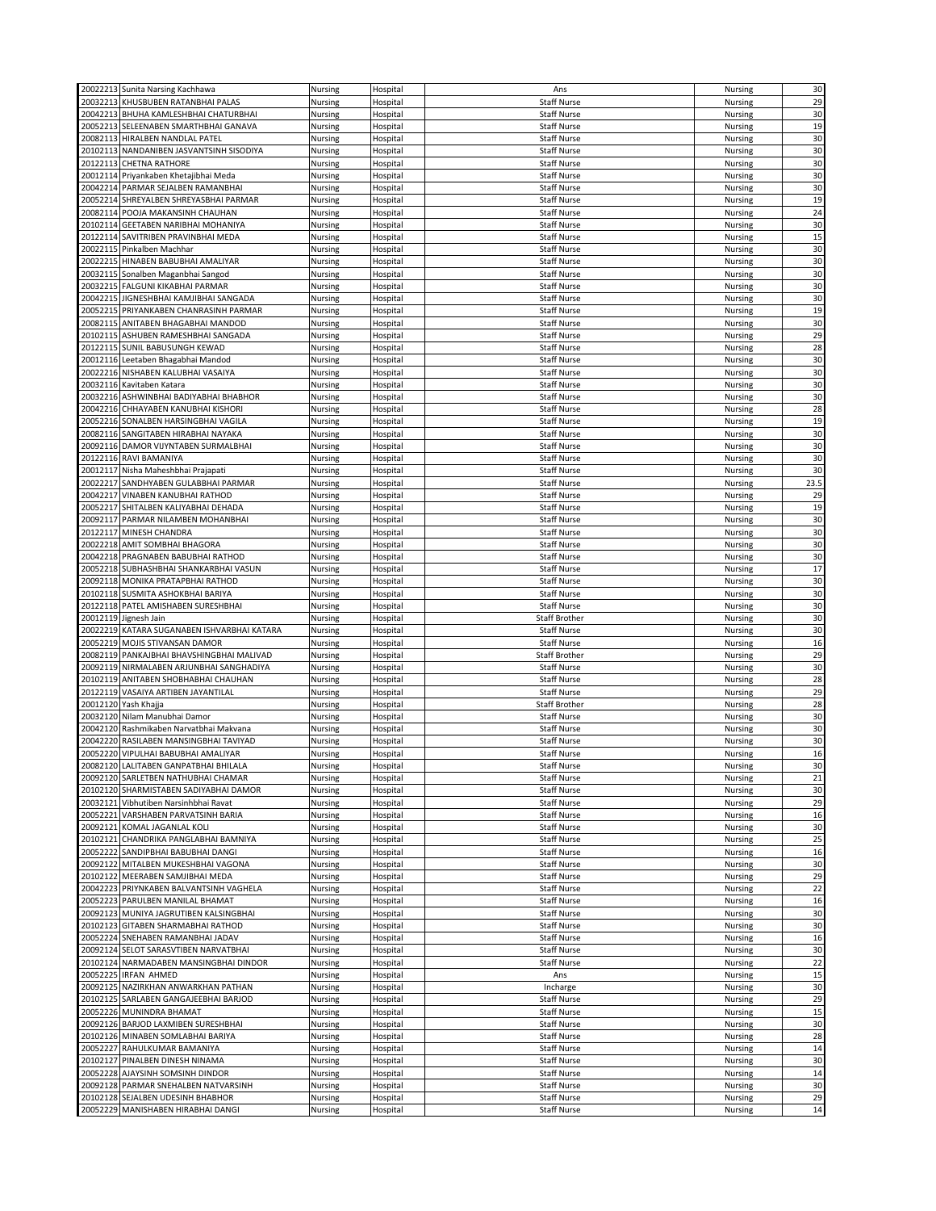|          |                                             | Nursing | Hospital | Ans                  |                | 30   |
|----------|---------------------------------------------|---------|----------|----------------------|----------------|------|
|          | 20022213 Sunita Narsing Kachhawa            |         |          |                      | Nursing        |      |
|          | 20032213 KHUSBUBEN RATANBHAI PALAS          | Nursing | Hospital | <b>Staff Nurse</b>   | Nursing        | 29   |
|          | 20042213 BHUHA KAMLESHBHAI CHATURBHAI       | Nursing | Hospital | <b>Staff Nurse</b>   | Nursing        | 30   |
|          | 20052213 SELEENABEN SMARTHBHAI GANAVA       | Nursing | Hospital | <b>Staff Nurse</b>   | Nursing        | 19   |
|          | 20082113 HIRALBEN NANDLAL PATEL             | Nursing | Hospital | <b>Staff Nurse</b>   | Nursing        | 30   |
|          |                                             |         |          |                      |                |      |
|          | 20102113 NANDANIBEN JASVANTSINH SISODIYA    | Nursing | Hospital | <b>Staff Nurse</b>   | Nursing        | 30   |
|          | 20122113 CHETNA RATHORE                     | Nursing | Hospital | <b>Staff Nurse</b>   | Nursing        | 30   |
|          | 20012114 Priyankaben Khetajibhai Meda       | Nursing | Hospital | <b>Staff Nurse</b>   | Nursing        | 30   |
|          |                                             |         |          | <b>Staff Nurse</b>   |                | 30   |
|          | 20042214 PARMAR SEJALBEN RAMANBHAI          | Nursing | Hospital |                      | Nursing        |      |
|          | 20052214 SHREYALBEN SHREYASBHAI PARMAR      | Nursing | Hospital | <b>Staff Nurse</b>   | Nursing        | 19   |
|          | 20082114 POOJA MAKANSINH CHAUHAN            | Nursing | Hospital | <b>Staff Nurse</b>   | Nursing        | 24   |
|          | 20102114 GEETABEN NARIBHAI MOHANIYA         | Nursing | Hospital | <b>Staff Nurse</b>   | Nursing        | 30   |
|          | 20122114 SAVITRIBEN PRAVINBHAI MEDA         |         |          | <b>Staff Nurse</b>   |                | 15   |
|          |                                             | Nursing | Hospital |                      | Nursing        |      |
|          | 20022115 Pinkalben Machhar                  | Nursing | Hospital | <b>Staff Nurse</b>   | Nursing        | 30   |
|          | 20022215 HINABEN BABUBHAI AMALIYAR          | Nursing | Hospital | <b>Staff Nurse</b>   | Nursing        | 30   |
|          | 20032115 Sonalben Maganbhai Sangod          | Nursing | Hospital | <b>Staff Nurse</b>   | Nursing        | 30   |
|          | 20032215 FALGUNI KIKABHAI PARMAR            | Nursing | Hospital | <b>Staff Nurse</b>   | Nursing        | 30   |
|          |                                             |         |          |                      |                |      |
|          | 20042215 JIGNESHBHAI KAMJIBHAI SANGADA      | Nursing | Hospital | <b>Staff Nurse</b>   | Nursing        | 30   |
|          | 20052215 PRIYANKABEN CHANRASINH PARMAR      | Nursing | Hospital | <b>Staff Nurse</b>   | Nursing        | 19   |
|          | 20082115 ANITABEN BHAGABHAI MANDOD          | Nursing | Hospital | <b>Staff Nurse</b>   | Nursing        | 30   |
|          | 20102115 ASHUBEN RAMESHBHAI SANGADA         | Nursing | Hospital | <b>Staff Nurse</b>   | Nursing        | 29   |
|          |                                             |         |          |                      |                |      |
|          | 20122115 SUNIL BABUSUNGH KEWAD              | Nursing | Hospital | <b>Staff Nurse</b>   | Nursing        | 28   |
|          | 20012116 Leetaben Bhagabhai Mandod          | Nursing | Hospital | <b>Staff Nurse</b>   | Nursing        | 30   |
|          | 20022216 NISHABEN KALUBHAI VASAIYA          | Nursing | Hospital | <b>Staff Nurse</b>   | Nursing        | 30   |
|          | 20032116 Kavitaben Katara                   | Nursing | Hospital | <b>Staff Nurse</b>   | Nursing        | 30   |
|          |                                             |         |          |                      |                |      |
|          | 20032216 ASHWINBHAI BADIYABHAI BHABHOR      | Nursing | Hospital | <b>Staff Nurse</b>   | Nursing        | 30   |
|          | 20042216 CHHAYABEN KANUBHAI KISHORI         | Nursing | Hospital | <b>Staff Nurse</b>   | Nursing        | 28   |
|          | 20052216 SONALBEN HARSINGBHAI VAGILA        | Nursing | Hospital | <b>Staff Nurse</b>   | Nursing        | 19   |
|          | 20082116 SANGITABEN HIRABHAI NAYAKA         | Nursing | Hospital | <b>Staff Nurse</b>   | Nursing        | 30   |
|          | 20092116 DAMOR VIJYNTABEN SURMALBHAI        |         |          |                      |                |      |
|          |                                             | Nursing | Hospital | <b>Staff Nurse</b>   | Nursing        | 30   |
|          | 20122116 RAVI BAMANIYA                      | Nursing | Hospital | <b>Staff Nurse</b>   | Nursing        | 30   |
|          | 20012117 Nisha Maheshbhai Prajapati         | Nursing | Hospital | <b>Staff Nurse</b>   | Nursing        | 30   |
| 20022217 | SANDHYABEN GULABBHAI PARMAR                 | Nursing | Hospital | <b>Staff Nurse</b>   | Nursing        | 23.5 |
|          |                                             |         |          |                      |                |      |
|          | 20042217 VINABEN KANUBHAI RATHOD            | Nursing | Hospital | <b>Staff Nurse</b>   | Nursing        | 29   |
|          | 20052217 SHITALBEN KALIYABHAI DEHADA        | Nursing | Hospital | <b>Staff Nurse</b>   | Nursing        | 19   |
|          | 20092117 PARMAR NILAMBEN MOHANBHAI          | Nursing | Hospital | <b>Staff Nurse</b>   | Nursing        | 30   |
|          | 20122117 MINESH CHANDRA                     | Nursing | Hospital | <b>Staff Nurse</b>   | Nursing        | 30   |
|          | 20022218 AMIT SOMBHAI BHAGORA               |         |          |                      |                | 30   |
|          |                                             | Nursing | Hospital | <b>Staff Nurse</b>   | Nursing        |      |
|          | 20042218 PRAGNABEN BABUBHAI RATHOD          | Nursing | Hospital | <b>Staff Nurse</b>   | Nursing        | 30   |
|          | 20052218 SUBHASHBHAI SHANKARBHAI VASUN      | Nursing | Hospital | <b>Staff Nurse</b>   | Nursing        | 17   |
|          | 20092118 MONIKA PRATAPBHAI RATHOD           | Nursing | Hospital | <b>Staff Nurse</b>   | Nursing        | 30   |
|          |                                             |         |          |                      |                |      |
|          | 20102118 SUSMITA ASHOKBHAI BARIYA           | Nursing | Hospital | <b>Staff Nurse</b>   | Nursing        | 30   |
|          | 20122118 PATEL AMISHABEN SURESHBHAI         | Nursing | Hospital | <b>Staff Nurse</b>   | Nursing        | 30   |
|          | 20012119 Jignesh Jain                       | Nursing | Hospital | <b>Staff Brother</b> | <b>Nursing</b> | 30   |
|          | 20022219 KATARA SUGANABEN ISHVARBHAI KATARA | Nursing | Hospital | <b>Staff Nurse</b>   | Nursing        | 30   |
|          |                                             |         |          |                      |                |      |
|          | 20052219 MOJIS STIVANSAN DAMOR              | Nursing | Hospital | <b>Staff Nurse</b>   | Nursing        | 16   |
|          | 20082119 PANKAJBHAI BHAVSHINGBHAI MALIVAD   | Nursing | Hospital | <b>Staff Brother</b> | <b>Nursing</b> | 29   |
|          | 20092119 NIRMALABEN ARJUNBHAI SANGHADIYA    | Nursing | Hospital | <b>Staff Nurse</b>   | Nursing        | 30   |
|          | 20102119 ANITABEN SHOBHABHAI CHAUHAN        | Nursing | Hospital | <b>Staff Nurse</b>   | Nursing        | 28   |
|          | 20122119 VASAIYA ARTIBEN JAYANTILAL         | Nursing | Hospital | <b>Staff Nurse</b>   | <b>Nursing</b> | 29   |
|          |                                             |         |          |                      |                |      |
|          | 20012120 Yash Khajja                        | Nursing | Hospital | Staff Brother        | Nursing        | 28   |
|          | 20032120 Nilam Manubhai Damor               | Nursing | Hospital | <b>Staff Nurse</b>   | Nursing        | 30   |
|          | 20042120 Rashmikaben Narvatbhai Makvana     | Nursing | Hospital | <b>Staff Nurse</b>   | Nursing        | 30   |
|          | 20042220 RASILABEN MANSINGBHAI TAVIYAD      | Nursing | Hospital | <b>Staff Nurse</b>   | Nursing        | 30   |
|          |                                             |         |          |                      |                |      |
|          | 20052220 VIPULHAI BABUBHAI AMALIYAR         | Nursing | Hospital | <b>Staff Nurse</b>   | Nursing        | 16   |
|          | 20082120 LALITABEN GANPATBHAI BHILALA       | Nursing | Hospital | <b>Staff Nurse</b>   | <b>Nursing</b> | 30   |
|          | 20092120 SARLETBEN NATHUBHAI CHAMAR         | Nursing | Hospital | <b>Staff Nurse</b>   | Nursing        | 21   |
|          | 20102120 SHARMISTABEN SADIYABHAI DAMOR      | Nursing | Hospital | <b>Staff Nurse</b>   | Nursing        | 30   |
|          | 20032121 Vibhutiben Narsinhbhai Ravat       | Nursing | Hospital | <b>Staff Nurse</b>   | Nursing        | 29   |
|          |                                             |         |          |                      |                |      |
|          | 20052221 VARSHABEN PARVATSINH BARIA         | Nursing | Hospital | Staff Nurse          | Nursing        | 16   |
|          | 20092121 KOMAL JAGANLAL KOLI                | Nursing | Hospital | <b>Staff Nurse</b>   | Nursing        | 30   |
|          | 20102121 CHANDRIKA PANGLABHAI BAMNIYA       | Nursing | Hospital | <b>Staff Nurse</b>   | Nursing        | 25   |
|          | 20052222 SANDIPBHAI BABUBHAI DANGI          | Nursing | Hospital | Staff Nurse          | Nursing        | 16   |
| 20092122 | MITALBEN MUKESHBHAI VAGONA                  |         |          | <b>Staff Nurse</b>   |                | 30   |
|          |                                             | Nursing | Hospital |                      | Nursing        |      |
|          | 20102122 MEERABEN SAMJIBHAI MEDA            | Nursing | Hospital | <b>Staff Nurse</b>   | Nursing        | 29   |
|          | 20042223 PRIYNKABEN BALVANTSINH VAGHELA     | Nursing | Hospital | <b>Staff Nurse</b>   | Nursing        | 22   |
|          | 20052223 PARULBEN MANILAL BHAMAT            | Nursing | Hospital | <b>Staff Nurse</b>   | Nursing        | 16   |
|          | 20092123 MUNIYA JAGRUTIBEN KALSINGBHAI      | Nursing | Hospital | <b>Staff Nurse</b>   | Nursing        | 30   |
|          |                                             |         |          |                      |                |      |
|          | 20102123 GITABEN SHARMABHAI RATHOD          | Nursing | Hospital | <b>Staff Nurse</b>   | Nursing        | 30   |
|          | 20052224 SNEHABEN RAMANBHAI JADAV           | Nursing | Hospital | <b>Staff Nurse</b>   | Nursing        | 16   |
|          | 20092124 SELOT SARASVTIBEN NARVATBHAI       | Nursing | Hospital | <b>Staff Nurse</b>   | Nursing        | 30   |
|          | 20102124 NARMADABEN MANSINGBHAI DINDOR      | Nursing | Hospital | <b>Staff Nurse</b>   | Nursing        | 22   |
|          |                                             |         |          |                      |                |      |
|          | 20052225 IRFAN AHMED                        | Nursing | Hospital | Ans                  | Nursing        | 15   |
|          | 20092125 NAZIRKHAN ANWARKHAN PATHAN         | Nursing | Hospital | Incharge             | Nursing        | 30   |
|          | 20102125 SARLABEN GANGAJEEBHAI BARJOD       | Nursing | Hospital | <b>Staff Nurse</b>   | Nursing        | 29   |
|          | 20052226 MUNINDRA BHAMAT                    | Nursing | Hospital | <b>Staff Nurse</b>   | Nursing        | 15   |
|          |                                             |         |          |                      |                |      |
|          | 20092126 BARJOD LAXMIBEN SURESHBHAI         | Nursing | Hospital | <b>Staff Nurse</b>   | Nursing        | 30   |
|          | 20102126 MINABEN SOMLABHAI BARIYA           | Nursing | Hospital | <b>Staff Nurse</b>   | Nursing        | 28   |
|          | 20052227 RAHULKUMAR BAMANIYA                | Nursing | Hospital | <b>Staff Nurse</b>   | Nursing        | 14   |
|          | 20102127 PINALBEN DINESH NINAMA             | Nursing | Hospital | <b>Staff Nurse</b>   | Nursing        | 30   |
|          | 20052228 AJAYSINH SOMSINH DINDOR            | Nursing | Hospital | <b>Staff Nurse</b>   | Nursing        | 14   |
|          |                                             |         |          |                      |                |      |
|          | 20092128 PARMAR SNEHALBEN NATVARSINH        | Nursing | Hospital | Staff Nurse          | Nursing        | 30   |
|          | 20102128 SEJALBEN UDESINH BHABHOR           | Nursing | Hospital | <b>Staff Nurse</b>   | Nursing        | 29   |
|          | 20052229 MANISHABEN HIRABHAI DANGI          | Nursing | Hospital | <b>Staff Nurse</b>   | Nursing        | 14   |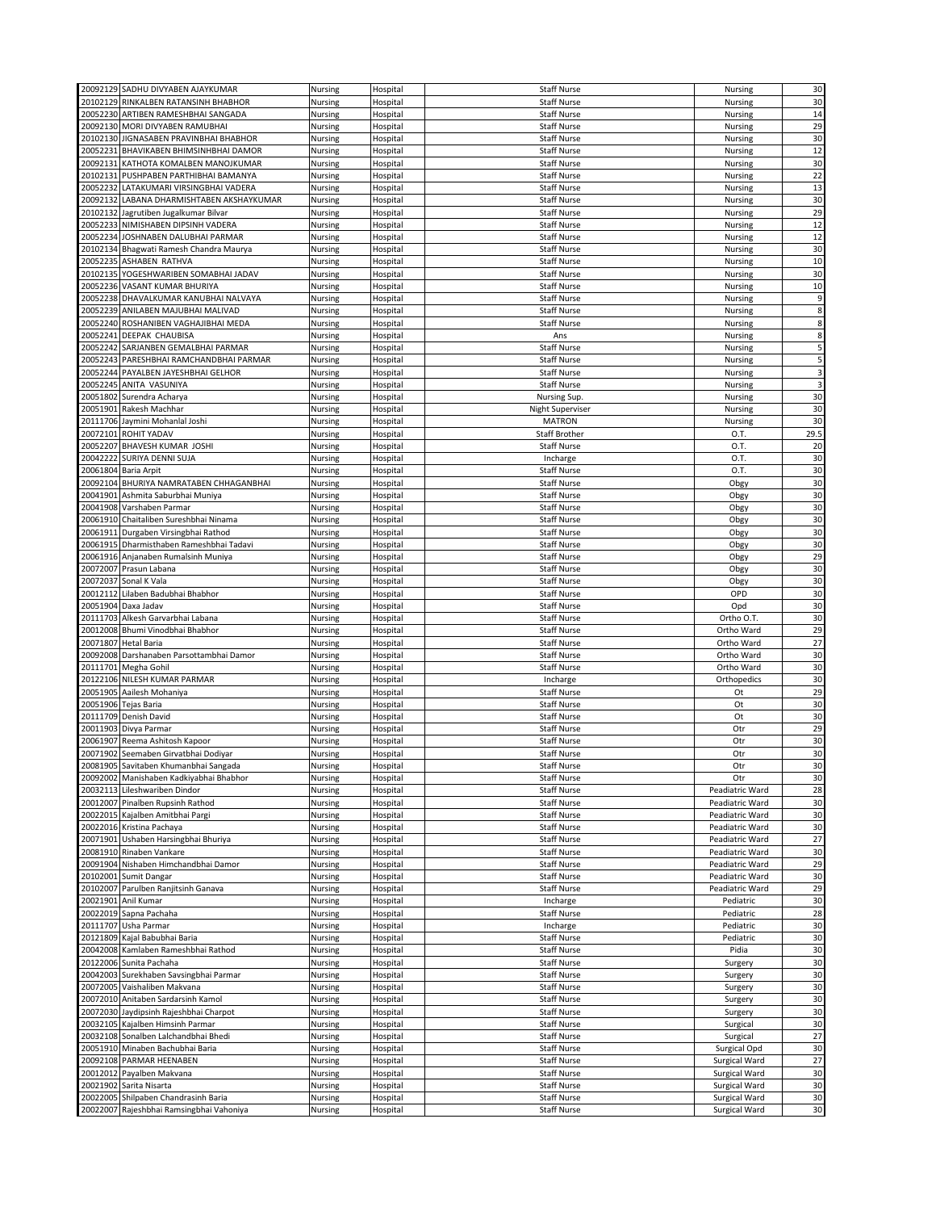|          | 20092129 SADHU DIVYABEN AJAYKUMAR                                                |                    |                      | <b>Staff Nurse</b>                       |                                |                         |
|----------|----------------------------------------------------------------------------------|--------------------|----------------------|------------------------------------------|--------------------------------|-------------------------|
|          |                                                                                  | Nursing            | Hospital             |                                          | Nursing                        | 30                      |
|          | 20102129 RINKALBEN RATANSINH BHABHOR                                             | Nursing            | Hospital             | <b>Staff Nurse</b>                       | Nursing                        | 30                      |
|          | 20052230 ARTIBEN RAMESHBHAI SANGADA                                              | Nursing            | Hospital             | <b>Staff Nurse</b>                       | Nursing                        | 14                      |
|          | 20092130 MORI DIVYABEN RAMUBHAI                                                  | Nursing            |                      | <b>Staff Nurse</b>                       | Nursing                        | 29                      |
|          |                                                                                  |                    | Hospital             |                                          |                                |                         |
|          | 20102130 JIGNASABEN PRAVINBHAI BHABHOR                                           | Nursing            | Hospital             | <b>Staff Nurse</b>                       | Nursing                        | 30                      |
|          | 20052231 BHAVIKABEN BHIMSINHBHAI DAMOR                                           | Nursing            | Hospital             | <b>Staff Nurse</b>                       | Nursing                        | 12                      |
|          | 20092131 KATHOTA KOMALBEN MANOJKUMAR                                             | Nursing            | Hospital             | <b>Staff Nurse</b>                       | Nursing                        | 30                      |
|          |                                                                                  |                    |                      |                                          |                                |                         |
| 20102131 | PUSHPABEN PARTHIBHAI BAMANYA                                                     | Nursing            | Hospital             | <b>Staff Nurse</b>                       | Nursing                        | 22                      |
|          | 20052232 LATAKUMARI VIRSINGBHAI VADERA                                           | Nursing            | Hospital             | <b>Staff Nurse</b>                       | Nursing                        | 13                      |
|          | 20092132 LABANA DHARMISHTABEN AKSHAYKUMAR                                        | Nursing            | Hospital             | <b>Staff Nurse</b>                       | Nursing                        | 30                      |
|          |                                                                                  |                    |                      |                                          |                                | 29                      |
|          | 20102132 Jagrutiben Jugalkumar Bilvar                                            | Nursing            | Hospital             | <b>Staff Nurse</b>                       | Nursing                        |                         |
|          | 20052233 NIMISHABEN DIPSINH VADERA                                               | Nursing            | Hospital             | <b>Staff Nurse</b>                       | Nursing                        | 12                      |
|          | 20052234 JOSHNABEN DALUBHAI PARMAR                                               | Nursing            | Hospital             | <b>Staff Nurse</b>                       | <b>Nursing</b>                 | 12                      |
|          | 20102134 Bhagwati Ramesh Chandra Maurya                                          | Nursing            | Hospital             | <b>Staff Nurse</b>                       | Nursing                        | 30                      |
|          |                                                                                  |                    |                      |                                          |                                |                         |
|          | 20052235 ASHABEN RATHVA                                                          | Nursing            | Hospital             | <b>Staff Nurse</b>                       | Nursing                        | 10                      |
|          | 20102135 YOGESHWARIBEN SOMABHAI JADAV                                            | Nursing            | Hospital             | <b>Staff Nurse</b>                       | Nursing                        | 30                      |
|          | 20052236 VASANT KUMAR BHURIYA                                                    | Nursing            | Hospital             | <b>Staff Nurse</b>                       | Nursing                        | 10                      |
|          |                                                                                  |                    |                      |                                          |                                |                         |
|          | 20052238 DHAVALKUMAR KANUBHAI NALVAYA                                            | Nursing            | Hospital             | <b>Staff Nurse</b>                       | Nursing                        | 9                       |
|          | 20052239 ANILABEN MAJUBHAI MALIVAD                                               | Nursing            | Hospital             | <b>Staff Nurse</b>                       | Nursing                        | 8                       |
|          | 20052240 ROSHANIBEN VAGHAJIBHAI MEDA                                             | Nursing            | Hospital             | <b>Staff Nurse</b>                       | Nursing                        | 8                       |
|          |                                                                                  |                    |                      |                                          |                                |                         |
|          | 20052241 DEEPAK CHAUBISA                                                         | Nursing            | Hospital             | Ans                                      | Nursing                        | 8                       |
|          | 20052242 SARJANBEN GEMALBHAI PARMAR                                              | Nursing            | Hospital             | <b>Staff Nurse</b>                       | Nursing                        | 5                       |
|          | 20052243 PARESHBHAI RAMCHANDBHAI PARMAR                                          | Nursing            | Hospital             | <b>Staff Nurse</b>                       | Nursing                        | 5                       |
|          |                                                                                  |                    |                      |                                          |                                |                         |
|          | 20052244 PAYALBEN JAYESHBHAI GELHOR                                              | Nursing            | Hospital             | <b>Staff Nurse</b>                       | Nursing                        | 3                       |
|          | 20052245 ANITA VASUNIYA                                                          | Nursing            | Hospital             | <b>Staff Nurse</b>                       | Nursing                        | $\overline{\mathbf{3}}$ |
|          | 20051802 Surendra Acharya                                                        | Nursing            | Hospital             | Nursing Sup.                             | Nursing                        | 30                      |
| 20051901 | Rakesh Machhar                                                                   | Nursing            | Hospital             | <b>Night Superviser</b>                  | Nursing                        | 30                      |
|          |                                                                                  |                    |                      |                                          |                                |                         |
|          | 20111706 Jaymini Mohanlal Joshi                                                  | Nursing            | Hospital             | <b>MATRON</b>                            | Nursing                        | 30                      |
|          | 20072101 ROHIT YADAV                                                             | Nursing            | Hospital             | <b>Staff Brother</b>                     | O.T.                           | 29.5                    |
| 20052207 | BHAVESH KUMAR JOSHI                                                              | Nursing            | Hospital             | <b>Staff Nurse</b>                       | 0.T.                           | 20                      |
|          |                                                                                  |                    |                      |                                          |                                |                         |
| 20042222 | SURIYA DENNI SUJA                                                                | Nursing            | Hospital             | Incharge                                 | O.T.                           | 30                      |
|          | 20061804 Baria Arpit                                                             | Nursing            | Hospital             | <b>Staff Nurse</b>                       | O.T.                           | 30                      |
|          | 20092104 BHURIYA NAMRATABEN CHHAGANBHAI                                          | Nursing            | Hospital             | <b>Staff Nurse</b>                       | Obgy                           | 30                      |
|          |                                                                                  |                    |                      |                                          |                                |                         |
|          | 20041901 Ashmita Saburbhai Muniya                                                | Nursing            | Hospital             | <b>Staff Nurse</b>                       | Obgy                           | 30                      |
|          | 20041908 Varshaben Parmar                                                        | Nursing            | Hospital             | <b>Staff Nurse</b>                       | Obgy                           | 30                      |
|          | 20061910 Chaitaliben Sureshbhai Ninama                                           | Nursing            | Hospital             | <b>Staff Nurse</b>                       | Obgy                           | 30                      |
|          |                                                                                  |                    |                      |                                          |                                |                         |
| 20061911 | Durgaben Virsingbhai Rathod                                                      | Nursing            | Hospital             | <b>Staff Nurse</b>                       | Obgy                           | 30                      |
|          | 20061915 Dharmisthaben Rameshbhai Tadavi                                         | Nursing            | Hospital             | <b>Staff Nurse</b>                       | Obgy                           | 30                      |
|          | 20061916 Anjanaben Rumalsinh Muniya                                              | Nursing            | Hospital             | <b>Staff Nurse</b>                       | Obgy                           | 29                      |
|          |                                                                                  |                    |                      |                                          |                                | 30                      |
|          | 20072007 Prasun Labana                                                           | Nursing            | Hospital             | <b>Staff Nurse</b>                       | Obgy                           |                         |
|          | 20072037 Sonal K Vala                                                            | Nursing            | Hospital             | <b>Staff Nurse</b>                       | Obgy                           | 30                      |
|          | 20012112 Lilaben Badubhai Bhabhor                                                | Nursing            | Hospital             | <b>Staff Nurse</b>                       | OPD                            | 30                      |
|          | 20051904 Daxa Jadav                                                              | Nursing            | Hospital             | <b>Staff Nurse</b>                       | Opd                            | 30                      |
|          |                                                                                  |                    |                      |                                          |                                |                         |
|          | 20111703 Alkesh Garvarbhai Labana                                                | Nursing            | Hospital             | <b>Staff Nurse</b>                       | Ortho O.T.                     | 30                      |
|          | 20012008 Bhumi Vinodbhai Bhabhor                                                 | Nursing            | Hospital             | <b>Staff Nurse</b>                       | Ortho Ward                     | 29                      |
| 20071807 | <b>Hetal Baria</b>                                                               | Nursing            | Hospital             | <b>Staff Nurse</b>                       | Ortho Ward                     | 27                      |
|          |                                                                                  |                    |                      |                                          |                                |                         |
|          | 20092008 Darshanaben Parsottambhai Damor                                         | Nursing            | Hospital             | <b>Staff Nurse</b>                       | Ortho Ward                     | 30                      |
|          | 20111701 Megha Gohil                                                             | Nursing            | Hospital             | <b>Staff Nurse</b>                       | Ortho Ward                     | 30                      |
|          | 20122106 NILESH KUMAR PARMAR                                                     | Nursing            | Hospital             | Incharge                                 | Orthopedics                    | 30                      |
|          | 20051905 Aailesh Mohaniya                                                        | Nursing            | Hospital             | <b>Staff Nurse</b>                       | Ot                             | 29                      |
|          |                                                                                  |                    |                      |                                          |                                |                         |
|          | 20051906 Tejas Baria                                                             | Nursing            | Hospital             | <b>Staff Nurse</b>                       | Ot                             | 30                      |
|          | 20111709 Denish David                                                            | Nursing            | Hospital             | <b>Staff Nurse</b>                       | Ot                             | 30                      |
|          | 20011903 Divya Parmar                                                            | Nursing            | Hospital             | <b>Staff Nurse</b>                       | Otr                            | 29                      |
|          |                                                                                  |                    |                      |                                          |                                |                         |
|          | 20061907 Reema Ashitosh Kapoor                                                   | Nursing            | Hospital             | <b>Staff Nurse</b>                       | Otr                            | 30                      |
|          | 20071902 Seemaben Girvatbhai Dodiyar                                             | Nursing            | Hospital             | <b>Staff Nurse</b>                       |                                | 30                      |
|          | 20081905 Savitaben Khumanbhai Sangada                                            | Nursing            |                      |                                          | Otr                            |                         |
|          |                                                                                  |                    |                      |                                          | Otr                            | 30                      |
|          |                                                                                  |                    | Hospital             | <b>Staff Nurse</b>                       |                                |                         |
|          | 20092002 Manishaben Kadkiyabhai Bhabhor                                          | Nursing            | Hospital             | <b>Staff Nurse</b>                       | Otr                            | 30                      |
|          | 20032113 Lileshwariben Dindor                                                    | Nursing            | Hospital             | <b>Staff Nurse</b>                       | Peadiatric Ward                | 28                      |
|          | 20012007 Pinalben Rupsinh Rathod                                                 | Nursing            | Hospital             | <b>Staff Nurse</b>                       | Peadiatric Ward                | 30                      |
|          |                                                                                  |                    |                      |                                          |                                |                         |
|          | 20022015 Kajalben Amitbhai Pargi                                                 | Nursing            | Hospital             | <b>Staff Nurse</b>                       | Peadiatric Ward                | 30                      |
|          | 20022016 Kristina Pachaya                                                        | Nursing            | Hospital             | <b>Staff Nurse</b>                       | Peadiatric Ward                | 30                      |
|          | 20071901 Ushaben Harsingbhai Bhuriya                                             | Nursing            | Hospital             | <b>Staff Nurse</b>                       | Peadiatric Ward                | 27                      |
|          |                                                                                  |                    |                      |                                          |                                |                         |
|          | 20081910 Rinaben Vankare                                                         | Nursing            | Hospital             | <b>Staff Nurse</b>                       | Peadiatric Ward                | 30                      |
|          | 20091904 Nishaben Himchandbhai Damor                                             | Nursing            | Hospital             | <b>Staff Nurse</b>                       | Peadiatric Ward                | 29                      |
|          | 20102001 Sumit Dangar                                                            | Nursing            | Hospital             | <b>Staff Nurse</b>                       | Peadiatric Ward                | 30                      |
|          | 20102007 Parulben Ranjitsinh Ganava                                              | Nursing            | Hospital             | <b>Staff Nurse</b>                       | Peadiatric Ward                | 29                      |
|          |                                                                                  |                    |                      |                                          |                                |                         |
|          | 20021901 Anil Kumar                                                              | Nursing            | Hospital             | Incharge                                 | Pediatric                      | 30                      |
|          | 20022019 Sapna Pachaha                                                           | Nursing            | Hospital             | <b>Staff Nurse</b>                       | Pediatric                      | 28                      |
|          | 20111707 Usha Parmar                                                             | Nursing            | Hospital             | Incharge                                 | Pediatric                      | 30                      |
|          |                                                                                  |                    |                      |                                          |                                |                         |
|          | 20121809 Kajal Babubhai Baria                                                    | Nursing            | Hospital             | <b>Staff Nurse</b>                       | Pediatric                      | 30                      |
|          | 20042008 Kamlaben Rameshbhai Rathod                                              | Nursing            | Hospital             | <b>Staff Nurse</b>                       | Pidia                          | 30                      |
|          | 20122006 Sunita Pachaha                                                          | Nursing            | Hospital             | <b>Staff Nurse</b>                       | Surgery                        | 30                      |
|          |                                                                                  |                    |                      |                                          |                                |                         |
|          | 20042003 Surekhaben Savsingbhai Parmar                                           | Nursing            | Hospital             | Staff Nurse                              | Surgery                        | 30                      |
|          | 20072005 Vaishaliben Makvana                                                     | Nursing            | Hospital             | <b>Staff Nurse</b>                       | Surgery                        | 30                      |
|          | 20072010 Anitaben Sardarsinh Kamol                                               | Nursing            | Hospital             | <b>Staff Nurse</b>                       | Surgery                        | 30                      |
|          |                                                                                  |                    |                      |                                          |                                |                         |
|          | 20072030 Jaydipsinh Rajeshbhai Charpot                                           | Nursing            | Hospital             | Staff Nurse                              | Surgery                        | 30                      |
|          | 20032105 Kajalben Himsinh Parmar                                                 | Nursing            | Hospital             | <b>Staff Nurse</b>                       | Surgical                       | 30                      |
|          | 20032108 Sonalben Lalchandbhai Bhedi                                             | Nursing            | Hospital             | <b>Staff Nurse</b>                       | Surgical                       | 27                      |
|          | 20051910 Minaben Bachubhai Baria                                                 | Nursing            | Hospital             | Staff Nurse                              | Surgical Opd                   | 30                      |
|          |                                                                                  |                    |                      |                                          |                                |                         |
|          | 20092108 PARMAR HEENABEN                                                         | Nursing            | Hospital             | <b>Staff Nurse</b>                       | Surgical Ward                  | 27                      |
|          | 20012012 Payalben Makvana                                                        | Nursing            | Hospital             | <b>Staff Nurse</b>                       | Surgical Ward                  | 30                      |
|          | 20021902 Sarita Nisarta                                                          | Nursing            | Hospital             | <b>Staff Nurse</b>                       | Surgical Ward                  | 30                      |
|          |                                                                                  |                    |                      |                                          |                                |                         |
|          | 20022005 Shilpaben Chandrasinh Baria<br>20022007 Rajeshbhai Ramsingbhai Vahoniya | Nursing<br>Nursing | Hospital<br>Hospital | <b>Staff Nurse</b><br><b>Staff Nurse</b> | Surgical Ward<br>Surgical Ward | 30<br>30                |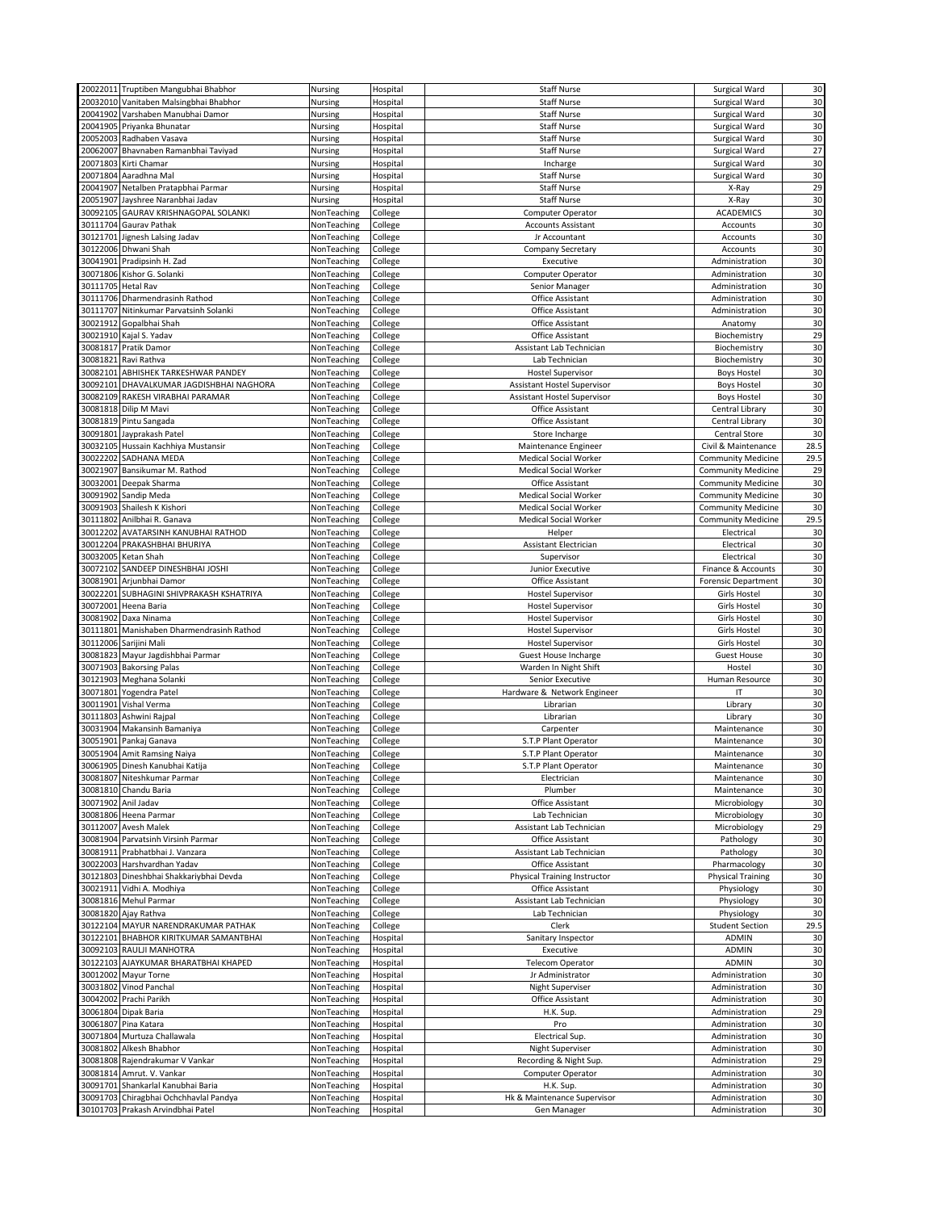|          | 20022011 Truptiben Mangubhai Bhabhor                                        | Nursing                    | Hospital             | <b>Staff Nurse</b>                         | Surgical Ward                    | 30           |
|----------|-----------------------------------------------------------------------------|----------------------------|----------------------|--------------------------------------------|----------------------------------|--------------|
|          |                                                                             |                            |                      |                                            |                                  |              |
|          | 20032010 Vanitaben Malsingbhai Bhabhor                                      | Nursing                    | Hospital             | <b>Staff Nurse</b>                         | Surgical Ward                    | 30           |
|          | 20041902 Varshaben Manubhai Damor                                           | Nursing                    | Hospital             | <b>Staff Nurse</b>                         | Surgical Ward                    | 30           |
|          | 20041905 Priyanka Bhunatar                                                  | Nursing                    | Hospital             | <b>Staff Nurse</b>                         | Surgical Ward                    | 30           |
|          | 20052003 Radhaben Vasava                                                    | Nursing                    | Hospital             | <b>Staff Nurse</b>                         | Surgical Ward                    | 30           |
|          | 20062007 Bhavnaben Ramanbhai Taviyad                                        | Nursing                    | Hospital             | <b>Staff Nurse</b>                         | Surgical Ward                    | 27           |
|          | 20071803 Kirti Chamar                                                       | Nursing                    | Hospital             | Incharge                                   | Surgical Ward                    | 30           |
|          | 20071804 Aaradhna Mal                                                       | Nursing                    | Hospital             | <b>Staff Nurse</b>                         | Surgical Ward                    | 30           |
|          |                                                                             |                            |                      |                                            |                                  | 29           |
|          | 20041907 Netalben Pratapbhai Parmar                                         | Nursing                    | Hospital             | <b>Staff Nurse</b>                         | X-Ray                            |              |
|          | 20051907 Jayshree Naranbhai Jadav                                           | Nursing                    | Hospital             | <b>Staff Nurse</b>                         | X-Ray                            | 30           |
|          | 30092105 GAURAV KRISHNAGOPAL SOLANKI                                        | NonTeaching                | College              | Computer Operator                          | <b>ACADEMICS</b>                 | 30           |
|          | 30111704 Gaurav Pathak                                                      | NonTeaching                | College              | <b>Accounts Assistant</b>                  | Accounts                         | 30           |
|          | 30121701 Jignesh Lalsing Jadav                                              | NonTeaching                | College              | Jr Accountant                              | Accounts                         | 30           |
|          | 30122006 Dhwani Shah                                                        | NonTeaching                | College              | Company Secretary                          | Accounts                         | 30           |
| 30041901 | Pradipsinh H. Zad                                                           | NonTeaching                | College              | Executive                                  | Administration                   | 30           |
|          | 30071806 Kishor G. Solanki                                                  | NonTeaching                | College              | Computer Operator                          | Administration                   | 30           |
|          |                                                                             |                            |                      |                                            |                                  |              |
|          | 30111705 Hetal Rav                                                          | NonTeaching                | College              | Senior Manager                             | Administration                   | 30           |
|          | 30111706 Dharmendrasinh Rathod                                              | NonTeaching                | College              | Office Assistant                           | Administration                   | 30           |
|          | 30111707 Nitinkumar Parvatsinh Solanki                                      | NonTeaching                | College              | Office Assistant                           | Administration                   | 30           |
|          | 30021912 Gopalbhai Shah                                                     | NonTeaching                | College              | Office Assistant                           | Anatomy                          | 30           |
|          | 30021910 Kajal S. Yadav                                                     | NonTeaching                | College              | Office Assistant                           | Biochemistry                     | 29           |
|          | 30081817 Pratik Damor                                                       | NonTeaching                | College              | Assistant Lab Technician                   | Biochemistry                     | 30           |
|          | 30081821 Ravi Rathva                                                        | NonTeaching                | College              | Lab Technician                             | Biochemistry                     | 30           |
|          | 30082101 ABHISHEK TARKESHWAR PANDEY                                         | NonTeaching                | College              | <b>Hostel Supervisor</b>                   | <b>Boys Hostel</b>               | 30           |
|          | 30092101 DHAVALKUMAR JAGDISHBHAI NAGHORA                                    |                            |                      |                                            |                                  | 30           |
|          |                                                                             | NonTeaching                | College              | Assistant Hostel Supervisor                | <b>Boys Hostel</b>               |              |
|          | 30082109 RAKESH VIRABHAI PARAMAR                                            | NonTeaching                | College              | Assistant Hostel Supervisor                | <b>Boys Hostel</b>               | 30           |
|          | 30081818 Dilip M Mavi                                                       | NonTeaching                | College              | Office Assistant                           | Central Library                  | 30           |
|          | 30081819 Pintu Sangada                                                      | NonTeaching                | College              | Office Assistant                           | Central Library                  | 30           |
|          | 30091801 Jayprakash Patel                                                   | NonTeaching                | College              | Store Incharge                             | <b>Central Store</b>             | 30           |
|          | 30032105 Hussain Kachhiya Mustansir                                         | NonTeaching                | College              | Maintenance Engineer                       | Civil & Maintenance              | 28.5         |
| 30022202 | SADHANA MEDA                                                                | NonTeaching                | College              | <b>Medical Social Worker</b>               | <b>Community Medicine</b>        | 29.5         |
| 30021907 | Bansikumar M. Rathod                                                        | NonTeaching                | College              | <b>Medical Social Worker</b>               | <b>Community Medicine</b>        | 29           |
|          | 30032001 Deepak Sharma                                                      | NonTeaching                | College              | Office Assistant                           | <b>Community Medicine</b>        | 30           |
|          |                                                                             |                            |                      |                                            |                                  |              |
|          | 30091902 Sandip Meda                                                        | NonTeaching                | College              | Medical Social Worker                      | <b>Community Medicine</b>        | 30           |
|          | 30091903 Shailesh K Kishori                                                 | NonTeaching                | College              | Medical Social Worker                      | <b>Community Medicine</b>        | 30           |
|          | 30111802 Anilbhai R. Ganava                                                 | NonTeaching                | College              | <b>Medical Social Worker</b>               | <b>Community Medicine</b>        | 29.5         |
| 30012202 | AVATARSINH KANUBHAI RATHOD                                                  | NonTeaching                | College              | Helper                                     | Electrical                       | 30           |
|          | 30012204 PRAKASHBHAI BHURIYA                                                | NonTeaching                | College              | <b>Assistant Electrician</b>               | Electrical                       | 30           |
|          | 30032005 Ketan Shah                                                         | NonTeaching                | College              | Supervisor                                 | Electrical                       | 30           |
| 30072102 | SANDEEP DINESHBHAI JOSHI                                                    | NonTeaching                | College              | Junior Executive                           | Finance & Accounts               | 30           |
|          | 30081901 Arjunbhai Damor                                                    | NonTeaching                | College              | Office Assistant                           | <b>Forensic Department</b>       | 30           |
|          |                                                                             |                            | College              | <b>Hostel Supervisor</b>                   | Girls Hostel                     | 30           |
|          | 30022201 SUBHAGINI SHIVPRAKASH KSHATRIYA                                    | NonTeaching                |                      |                                            |                                  |              |
|          |                                                                             |                            |                      |                                            |                                  |              |
| 30072001 | Heena Baria                                                                 | NonTeaching                | College              | <b>Hostel Supervisor</b>                   | <b>Girls Hostel</b>              | 30           |
|          | 30081902 Daxa Ninama                                                        | NonTeaching                | College              | <b>Hostel Supervisor</b>                   | <b>Girls Hostel</b>              | 30           |
|          | 30111801 Manishaben Dharmendrasinh Rathod                                   | NonTeaching                | College              | <b>Hostel Supervisor</b>                   | <b>Girls Hostel</b>              | 30           |
|          | 30112006 Sarijini Mali                                                      | NonTeaching                | College              | <b>Hostel Supervisor</b>                   | Girls Hostel                     | 30           |
|          |                                                                             |                            |                      |                                            |                                  |              |
|          | 30081823 Mayur Jagdishbhai Parmar                                           | NonTeaching                | College              | Guest House Incharge                       | <b>Guest House</b>               | 30           |
|          | 30071903 Bakorsing Palas                                                    | NonTeaching                | College              | Warden In Night Shift                      | Hostel                           | 30           |
|          | 30121903 Meghana Solanki                                                    | NonTeaching                | College              | Senior Executive                           | Human Resource                   | 30           |
|          | 30071801 Yogendra Patel                                                     | NonTeaching                | College              | Hardware & Network Engineer                | IT                               | 30           |
|          | 30011901 Vishal Verma                                                       | NonTeaching                | College              | Librarian                                  | Library                          | 30           |
|          | 30111803 Ashwini Rajpal                                                     | NonTeaching                | College              | Librarian                                  | Library                          | 30           |
|          | 30031904 Makansinh Bamaniya                                                 | NonTeaching                | College              | Carpenter                                  | Maintenance                      | 30           |
|          | 30051901 Pankaj Ganava                                                      | NonTeaching                | College              | S.T.P Plant Operator                       | Maintenance                      | 30           |
|          | 30051904 Amit Ramsing Naiya                                                 | NonTeaching                | College              | S.T.P Plant Operator                       | Maintenance                      | 30           |
|          | 30061905 Dinesh Kanubhai Katija                                             |                            |                      |                                            |                                  | 30           |
|          | 30081807 Niteshkumar Parmar                                                 | NonTeaching<br>NonTeaching | College<br>College   | S.T.P Plant Operator<br>Electrician        | Maintenance<br>Maintenance       | 30           |
|          |                                                                             |                            |                      | Plumber                                    |                                  |              |
|          | 30081810 Chandu Baria                                                       | NonTeaching                | College              |                                            | Maintenance                      | 30           |
|          | 30071902 Anil Jadav                                                         | NonTeaching                | College              | Office Assistant                           | Microbiology                     | 30           |
|          | 30081806 Heena Parmar                                                       | NonTeaching                | College              | Lab Technician                             | Microbiology                     | 30           |
|          | 30112007 Avesh Malek                                                        | NonTeaching                | College              | Assistant Lab Technician                   | Microbiology                     | 29           |
|          | 30081904 Parvatsinh Virsinh Parmar                                          | NonTeaching                | College              | Office Assistant                           | Pathology                        | 30           |
|          | 30081911 Prabhatbhai J. Vanzara                                             | NonTeaching                | College              | Assistant Lab Technician                   | Pathology                        | 30           |
|          | 30022003 Harshvardhan Yadav                                                 | NonTeaching                | College              | Office Assistant                           | Pharmacology                     | 30           |
|          | 30121803 Dineshbhai Shakkariybhai Devda                                     | NonTeaching                | College              | <b>Physical Training Instructor</b>        | <b>Physical Training</b>         | 30           |
|          | 30021911 Vidhi A. Modhiya                                                   | NonTeaching                |                      | Office Assistant                           | Physiology                       | 30           |
|          |                                                                             |                            | College              |                                            |                                  |              |
|          | 30081816 Mehul Parmar                                                       | NonTeaching                | College              | Assistant Lab Technician                   | Physiology                       | 30           |
|          | 30081820 Ajay Rathva                                                        | NonTeaching                | College              | Lab Technician                             | Physiology                       | 30           |
|          | 30122104 MAYUR NARENDRAKUMAR PATHAK                                         | NonTeaching                | College              | Clerk                                      | <b>Student Section</b>           | 29.5         |
|          | 30122101 BHABHOR KIRITKUMAR SAMANTBHAI                                      | NonTeaching                | Hospital             | Sanitary Inspector                         | ADMIN                            | 30           |
|          | 30092103 RAULJI MANHOTRA                                                    | NonTeaching                | Hospital             | Executive                                  | <b>ADMIN</b>                     | 30           |
|          | 30122103 AJAYKUMAR BHARATBHAI KHAPED                                        | NonTeaching                | Hospital             | <b>Telecom Operator</b>                    | ADMIN                            | 30           |
|          | 30012002 Mayur Torne                                                        | NonTeaching                | Hospital             | Jr Administrator                           | Administration                   | 30           |
| 30031802 | Vinod Panchal                                                               | NonTeaching                | Hospital             | Night Superviser                           | Administration                   | 30           |
|          | 30042002 Prachi Parikh                                                      | NonTeaching                | Hospital             | Office Assistant                           | Administration                   | 30           |
|          | 30061804 Dipak Baria                                                        | NonTeaching                | Hospital             | H.K. Sup.                                  | Administration                   | 29           |
|          |                                                                             |                            |                      |                                            |                                  |              |
|          | 30061807 Pina Katara                                                        | NonTeaching                | Hospital             | Pro                                        | Administration                   | 30           |
|          | 30071804 Murtuza Challawala                                                 | NonTeaching                | Hospital             | Electrical Sup.                            | Administration                   | 30           |
|          | 30081802 Alkesh Bhabhor                                                     | NonTeaching                | Hospital             | <b>Night Superviser</b>                    | Administration                   | 30           |
|          | 30081808 Rajendrakumar V Vankar                                             | NonTeaching                | Hospital             | Recording & Night Sup.                     | Administration                   | 29           |
|          | 30081814 Amrut. V. Vankar                                                   | NonTeaching                | Hospital             | Computer Operator                          | Administration                   | 30           |
|          | 30091701 Shankarlal Kanubhai Baria                                          | NonTeaching                | Hospital             | H.K. Sup.                                  | Administration                   | 30           |
|          | 30091703 Chiragbhai Ochchhavlal Pandya<br>30101703 Prakash Arvindbhai Patel | NonTeaching<br>NonTeaching | Hospital<br>Hospital | Hk & Maintenance Supervisor<br>Gen Manager | Administration<br>Administration | 30<br>$30\,$ |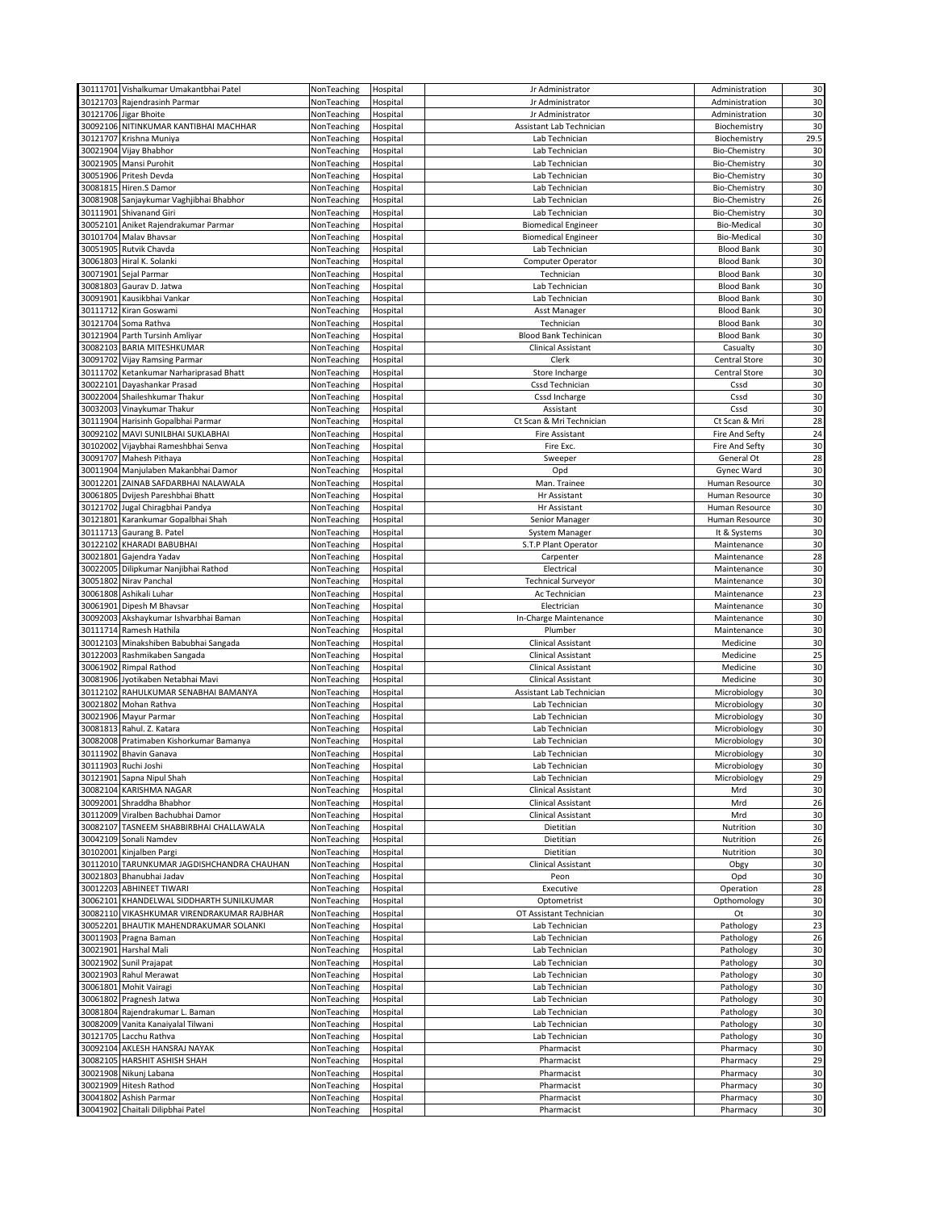|          | 30111701 Vishalkumar Umakantbhai Patel             | NonTeaching                | Hospital             | Jr Administrator             | Administration       | 30       |
|----------|----------------------------------------------------|----------------------------|----------------------|------------------------------|----------------------|----------|
| 30121703 |                                                    | NonTeaching                |                      |                              |                      |          |
|          | Rajendrasinh Parmar                                |                            | Hospital             | Jr Administrator             | Administration       | 30       |
|          | 30121706 Jigar Bhoite                              | NonTeaching                | Hospital             | Jr Administrator             | Administration       | 30       |
|          | 30092106 NITINKUMAR KANTIBHAI MACHHAR              | NonTeaching                | Hospital             | Assistant Lab Technician     | Biochemistry         | 30       |
|          | 30121707 Krishna Muniya                            | NonTeaching                | Hospital             | Lab Technician               | Biochemistry         | 29.5     |
|          | 30021904 Vijay Bhabhor                             | NonTeaching                | Hospital             | Lab Technician               | <b>Bio-Chemistry</b> | 30       |
|          |                                                    |                            |                      |                              |                      |          |
|          | 30021905 Mansi Purohit                             | NonTeaching                | Hospital             | Lab Technician               | <b>Bio-Chemistry</b> | 30       |
|          | 30051906 Pritesh Devda                             | NonTeaching                | Hospital             | Lab Technician               | <b>Bio-Chemistry</b> | 30       |
|          | 30081815 Hiren.S Damor                             | NonTeaching                | Hospital             | Lab Technician               | <b>Bio-Chemistry</b> | 30       |
|          | 30081908 Sanjaykumar Vaghjibhai Bhabhor            | NonTeaching                | Hospital             | Lab Technician               | <b>Bio-Chemistry</b> | 26       |
|          | 30111901 Shivanand Giri                            | NonTeaching                | Hospital             | Lab Technician               | <b>Bio-Chemistry</b> | 30       |
|          |                                                    |                            |                      |                              |                      |          |
|          | 30052101 Aniket Rajendrakumar Parmar               | NonTeaching                | Hospital             | <b>Biomedical Engineer</b>   | <b>Bio-Medical</b>   | 30       |
|          | 30101704 Malav Bhavsar                             | NonTeaching                | Hospital             | <b>Biomedical Engineer</b>   | <b>Bio-Medical</b>   | 30       |
|          | 30051905 Rutvik Chavda                             | NonTeaching                | Hospital             | Lab Technician               | <b>Blood Bank</b>    | 30       |
|          | 30061803 Hiral K. Solanki                          | NonTeaching                | Hospital             | Computer Operator            | <b>Blood Bank</b>    | 30       |
|          |                                                    |                            |                      |                              |                      |          |
|          | 30071901 Sejal Parmar                              | NonTeaching                | Hospital             | Technician                   | <b>Blood Bank</b>    | 30       |
| 30081803 | Gaurav D. Jatwa                                    | NonTeaching                | Hospital             | Lab Technician               | <b>Blood Bank</b>    | 30       |
|          | 30091901 Kausikbhai Vankar                         | NonTeaching                | Hospital             | Lab Technician               | <b>Blood Bank</b>    | 30       |
|          | 30111712 Kiran Goswami                             | NonTeaching                | Hospital             | Asst Manager                 | <b>Blood Bank</b>    | 30       |
|          |                                                    |                            |                      |                              | <b>Blood Bank</b>    | 30       |
|          | 30121704 Soma Rathva                               | NonTeaching                | Hospital             | Technician                   |                      |          |
|          | 30121904 Parth Tursinh Amliyar                     | NonTeaching                | Hospital             | <b>Blood Bank Techinican</b> | <b>Blood Bank</b>    | 30       |
|          | 30082103 BARIA MITESHKUMAR                         | NonTeaching                | Hospital             | Clinical Assistant           | Casualty             | 30       |
|          | 30091702 Vijay Ramsing Parmar                      | NonTeaching                | Hospital             | Clerk                        | Central Store        | 30       |
|          | 30111702 Ketankumar Narhariprasad Bhatt            | NonTeaching                | Hospital             | Store Incharge               | Central Store        | 30       |
|          |                                                    |                            |                      |                              |                      |          |
|          | 30022101 Dayashankar Prasad                        | NonTeaching                | Hospital             | Cssd Technician              | Cssd                 | 30       |
|          | 30022004 Shaileshkumar Thakur                      | NonTeaching                | Hospital             | Cssd Incharge                | Cssd                 | 30       |
| 30032003 | Vinaykumar Thakur                                  | NonTeaching                | Hospital             | Assistant                    | Cssd                 | 30       |
|          | 30111904 Harisinh Gopalbhai Parmar                 | NonTeaching                | Hospital             | Ct Scan & Mri Technician     | Ct Scan & Mri        | 28       |
|          |                                                    |                            |                      |                              |                      |          |
|          | 30092102 MAVI SUNILBHAI SUKLABHAI                  | NonTeaching                | Hospital             | Fire Assistant               | Fire And Sefty       | 24       |
| 30102002 | Vijaybhai Rameshbhai Senva                         | NonTeaching                | Hospital             | Fire Exc                     | Fire And Sefty       | 30       |
| 30091707 | Mahesh Pithaya                                     | NonTeaching                | Hospital             | Sweeper                      | General Ot           | 28       |
|          | 30011904 Manjulaben Makanbhai Damor                | NonTeaching                | Hospital             | Opd                          | Gynec Ward           | 30       |
|          |                                                    |                            |                      |                              |                      |          |
|          | 30012201 ZAINAB SAFDARBHAI NALAWALA                | NonTeaching                | Hospital             | Man. Trainee                 | Human Resource       | 30       |
|          | 30061805 Dvijesh Pareshbhai Bhatt                  | NonTeaching                | Hospital             | Hr Assistant                 | Human Resource       | 30       |
|          | 30121702 Jugal Chiragbhai Pandya                   | NonTeaching                | Hospital             | Hr Assistant                 | Human Resource       | 30       |
|          | 30121801 Karankumar Gopalbhai Shah                 | NonTeaching                | Hospital             | Senior Manager               | Human Resource       | 30       |
|          |                                                    |                            |                      |                              |                      |          |
| 30111713 | Gaurang B. Patel                                   | NonTeaching                | Hospital             | System Manager               | It & Systems         | 30       |
|          | 30122102 KHARADI BABUBHAI                          | NonTeaching                | Hospital             | S.T.P Plant Operator         | Maintenance          | 30       |
| 30021801 | Gajendra Yadav                                     | NonTeaching                | Hospital             | Carpenter                    | Maintenance          | 28       |
|          | 30022005 Dilipkumar Nanjibhai Rathod               | NonTeaching                | Hospital             | Electrical                   | Maintenance          | 30       |
|          |                                                    |                            |                      |                              |                      |          |
|          | 30051802 Nirav Panchal                             | NonTeaching                | Hospital             | <b>Technical Surveyor</b>    | Maintenance          | 30       |
|          | 30061808 Ashikali Luhar                            | NonTeaching                | Hospital             | Ac Technician                | Maintenance          | 23       |
|          | 30061901 Dipesh M Bhavsar                          | NonTeaching                | Hospital             | Electrician                  | Maintenance          | 30       |
|          |                                                    |                            |                      |                              |                      |          |
|          |                                                    |                            |                      |                              |                      |          |
|          | 30092003 Akshaykumar Ishvarbhai Baman              | NonTeaching                | Hospital             | In-Charge Maintenance        | Maintenance          | 30       |
|          | 30111714 Ramesh Hathila                            | NonTeaching                | Hospital             | Plumber                      | Maintenance          | 30       |
| 30012103 | Minakshiben Babubhai Sangada                       | NonTeaching                | Hospital             | Clinical Assistant           | Medicine             | 30       |
|          |                                                    |                            |                      |                              |                      |          |
|          | 30122003 Rashmikaben Sangada                       | NonTeaching                | Hospital             | Clinical Assistant           | Medicine             | 25       |
|          | 30061902 Rimpal Rathod                             | NonTeaching                | Hospital             | Clinical Assistant           | Medicine             | 30       |
|          | 30081906 Jyotikaben Netabhai Mavi                  | NonTeaching                | Hospital             | Clinical Assistant           | Medicine             | 30       |
|          | 30112102 RAHULKUMAR SENABHAI BAMANYA               | NonTeaching                | Hospital             | Assistant Lab Technician     | Microbiology         | 30       |
|          | 30021802 Mohan Rathva                              | NonTeaching                |                      | Lab Technician               | Microbiology         | 30       |
|          |                                                    |                            | Hospital             |                              |                      |          |
|          | 30021906 Mayur Parmar                              | NonTeaching                | Hospital             | Lab Technician               | Microbiology         | 30       |
|          | 30081813 Rahul. Z. Katara                          | NonTeaching                | Hospital             | Lab Technician               | Microbiology         | 30       |
|          | 30082008 Pratimaben Kishorkumar Bamanya            | NonTeaching                | Hospital             | Lab Technician               | Microbiology         | 30       |
|          | 30111902 Bhavin Ganava                             | NonTeaching                | Hospital             | Lab Technician               | Microbiology         | 30       |
|          |                                                    |                            | Hospital             |                              |                      | 30       |
|          | 30111903 Ruchi Joshi                               | NonTeaching                |                      | Lab Technician               | Microbiology         |          |
|          | 30121901 Sapna Nipul Shah                          | NonTeaching                | Hospital             | Lab Technician               | Microbiology         | 29       |
|          | 30082104 KARISHMA NAGAR                            | NonTeaching                | Hospital             | <b>Clinical Assistant</b>    | Mrd                  | 30       |
|          | 30092001 Shraddha Bhabhor                          | NonTeaching                | Hospital             | Clinical Assistant           | Mrd                  | 26       |
|          | 30112009 Viralben Bachubhai Damor                  | NonTeaching                | Hospital             | Clinical Assistant           | Mrd                  | 30       |
|          |                                                    |                            |                      |                              |                      |          |
|          | 30082107 TASNEEM SHABBIRBHAI CHALLAWALA            | NonTeaching                | Hospital             | Dietitian                    | Nutrition            | 30       |
|          | 30042109 Sonali Namdev                             | NonTeaching                | Hospital             | Dietitian                    | Nutrition            | 26       |
|          | 30102001 Kinjalben Pargi                           | NonTeaching                | Hospital             | Dietitian                    | Nutrition            | 30       |
|          | 30112010 TARUNKUMAR JAGDISHCHANDRA CHAUHAN         | NonTeaching                | Hospital             | <b>Clinical Assistant</b>    | Obgy                 | 30       |
|          |                                                    | NonTeaching                |                      |                              |                      |          |
|          | 30021803 Bhanubhai Jadav                           |                            | Hospital             | Peon                         | Opd                  | 30       |
|          | 30012203 ABHINEET TIWARI                           | NonTeaching                | Hospital             | Executive                    | Operation            | 28       |
|          | 30062101 KHANDELWAL SIDDHARTH SUNILKUMAR           | NonTeaching                | Hospital             | Optometrist                  | Opthomology          | 30       |
|          | 30082110 VIKASHKUMAR VIRENDRAKUMAR RAJBHAR         | NonTeaching                | Hospital             | OT Assistant Technician      | Ot                   | 30       |
|          | 30052201 BHAUTIK MAHENDRAKUMAR SOLANKI             | NonTeaching                | Hospital             | Lab Technician               | Pathology            | 23       |
|          |                                                    |                            |                      |                              |                      |          |
|          | 30011903 Pragna Baman                              | NonTeaching                | Hospital             | Lab Technician               | Pathology            | 26       |
|          | 30021901 Harshal Mali                              | NonTeaching                | Hospital             | Lab Technician               | Pathology            | 30       |
|          | 30021902 Sunil Prajapat                            | NonTeaching                | Hospital             | Lab Technician               | Pathology            | 30       |
|          | 30021903 Rahul Merawat                             | NonTeaching                | Hospital             | Lab Technician               | Pathology            | 30       |
|          |                                                    |                            |                      |                              |                      |          |
|          | 30061801 Mohit Vairagi                             | NonTeaching                | Hospital             | Lab Technician               | Pathology            | 30       |
|          | 30061802 Pragnesh Jatwa                            | NonTeaching                | Hospital             | Lab Technician               | Pathology            | 30       |
|          | 30081804 Rajendrakumar L. Baman                    | NonTeaching                | Hospital             | Lab Technician               | Pathology            | 30       |
|          | 30082009 Vanita Kanaiyalal Tilwani                 | NonTeaching                | Hospital             | Lab Technician               | Pathology            | 30       |
|          |                                                    |                            |                      |                              |                      |          |
|          | 30121705 Lacchu Rathva                             | NonTeaching                | Hospital             | Lab Technician               | Pathology            | 30       |
|          | 30092104 AKLESH HANSRAJ NAYAK                      | NonTeaching                | Hospital             | Pharmacist                   | Pharmacy             | 30       |
|          | 30082105 HARSHIT ASHISH SHAH                       | NonTeaching                | Hospital             | Pharmacist                   | Pharmacy             | 29       |
|          | 30021908 Nikunj Labana                             | NonTeaching                | Hospital             | Pharmacist                   | Pharmacy             | 30       |
|          |                                                    |                            |                      |                              |                      |          |
|          | 30021909 Hitesh Rathod                             | NonTeaching                | Hospital             | Pharmacist                   | Pharmacy             | 30       |
| 30041802 | Ashish Parmar<br>30041902 Chaitali Dilipbhai Patel | NonTeaching<br>NonTeaching | Hospital<br>Hospital | Pharmacist<br>Pharmacist     | Pharmacy<br>Pharmacy | 30<br>30 |